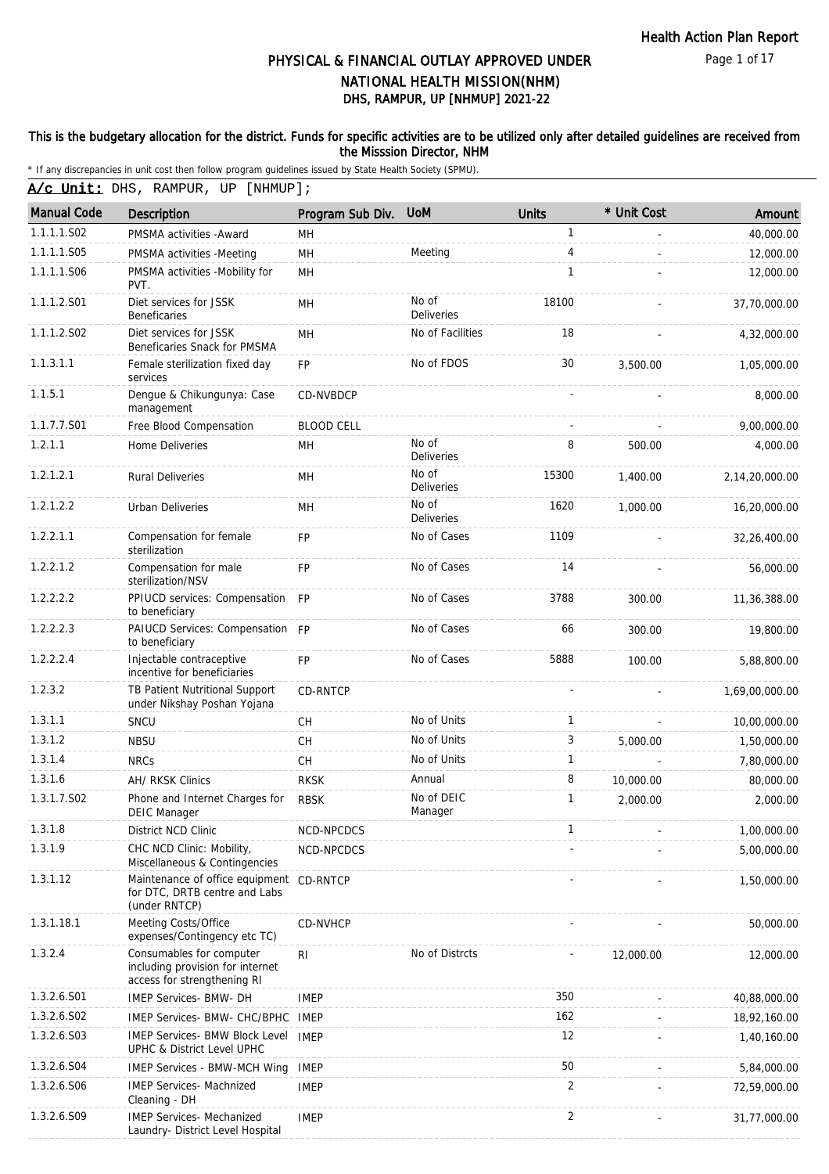#### This is the budgetary allocation for the district. Funds for specific activities are to be utilized only after detailed guidelines are received from the Misssion Director, NHM

| A/c Unit: DHS, RAMPUR, UP [NHMUP]; |  |  |  |  |
|------------------------------------|--|--|--|--|
|------------------------------------|--|--|--|--|

| <b>Manual Code</b> | <b>Description</b>                                                                          | Program Sub Div.  | <b>UoM</b>                 | <b>Units</b>   | * Unit Cost | Amount         |
|--------------------|---------------------------------------------------------------------------------------------|-------------------|----------------------------|----------------|-------------|----------------|
| 1.1.1.1.S02        | PMSMA activities - Award                                                                    | MH                |                            | 1              |             | 40,000.00      |
| 1.1.1.1.S05        | PMSMA activities -Meeting                                                                   | MH                | Meeting                    | 4              |             | 12,000.00      |
| 1.1.1.1.S06        | PMSMA activities -Mobility for<br>PVT.                                                      | MH                |                            | $\mathbf{1}$   |             | 12,000.00      |
| 1.1.1.2.S01        | Diet services for JSSK<br><b>Beneficaries</b>                                               | MH                | No of<br>Deliveries        | 18100          |             | 37,70,000.00   |
| 1.1.1.2.S02        | Diet services for JSSK<br>Beneficaries Snack for PMSMA                                      | MH                | No of Facilities           | 18             |             | 4,32,000.00    |
| 1.1.3.1.1          | Female sterilization fixed day<br>services                                                  | <b>FP</b>         | No of FDOS                 | 30             | 3,500.00    | 1,05,000.00    |
| 1.1.5.1            | Dengue & Chikungunya: Case<br>management                                                    | <b>CD-NVBDCP</b>  |                            |                |             | 8,000.00       |
| 1.1.7.7.S01        | Free Blood Compensation                                                                     | <b>BLOOD CELL</b> |                            |                |             | 9,00,000.00    |
| 1.2.1.1            | Home Deliveries                                                                             | MH                | No of<br><b>Deliveries</b> | 8              | 500.00      | 4,000.00       |
| 1.2.1.2.1          | <b>Rural Deliveries</b>                                                                     | MH                | No of<br><b>Deliveries</b> | 15300          | 1,400.00    | 2,14,20,000.00 |
| 1.2.1.2.2          | <b>Urban Deliveries</b>                                                                     | MH                | No of<br>Deliveries        | 1620           | 1,000.00    | 16,20,000.00   |
| 1.2.2.1.1          | Compensation for female<br>sterilization                                                    | <b>FP</b>         | No of Cases                | 1109           |             | 32,26,400.00   |
| 1.2.2.1.2          | Compensation for male<br>sterilization/NSV                                                  | FP                | No of Cases                | 14             |             | 56,000.00      |
| 1.2.2.2.2          | PPIUCD services: Compensation FP<br>to beneficiary                                          |                   | No of Cases                | 3788           | 300.00      | 11,36,388.00   |
| 1.2.2.2.3          | PAIUCD Services: Compensation FP<br>to beneficiary                                          |                   | No of Cases                | 66             | 300.00      | 19,800.00      |
| 1.2.2.2.4          | Injectable contraceptive<br>incentive for beneficiaries                                     | <b>FP</b>         | No of Cases                | 5888           | 100.00      | 5,88,800.00    |
| 1.2.3.2            | TB Patient Nutritional Support<br>under Nikshay Poshan Yojana                               | CD-RNTCP          |                            |                |             | 1,69,00,000.00 |
| 1.3.1.1            | SNCU                                                                                        | CH                | No of Units                | 1              |             | 10,00,000.00   |
| 1.3.1.2            | <b>NBSU</b>                                                                                 | CH                | No of Units                | 3              | 5,000.00    | 1,50,000.00    |
| 1.3.1.4            | <b>NRCs</b>                                                                                 | CH                | No of Units                | 1              |             | 7,80,000.00    |
| 1.3.1.6            | AH/ RKSK Clinics                                                                            | <b>RKSK</b>       | Annual                     | 8              | 10,000.00   | 80,000.00      |
| 1.3.1.7.S02        | Phone and Internet Charges for<br><b>DEIC Manager</b>                                       | <b>RBSK</b>       | No of DEIC<br>Manager      | 1              | 2,000.00    | 2,000.00       |
| 1.3.1.8            | District NCD Clinic                                                                         | NCD-NPCDCS        |                            | 1              |             | 1,00,000.00    |
| 1.3.1.9            | CHC NCD Clinic: Mobility,<br>Miscellaneous & Contingencies                                  | NCD-NPCDCS        |                            |                |             | 5,00,000.00    |
| 1.3.1.12           | Maintenance of office equipment CD-RNTCP<br>for DTC, DRTB centre and Labs<br>(under RNTCP)  |                   |                            |                |             | 1,50,000.00    |
| 1.3.1.18.1         | Meeting Costs/Office<br>expenses/Contingency etc TC)                                        | CD-NVHCP          |                            |                |             | 50,000.00      |
| 1.3.2.4            | Consumables for computer<br>including provision for internet<br>access for strengthening RI | RI                | No of Distrcts             |                | 12,000.00   | 12,000.00      |
| 1.3.2.6.S01        | IMEP Services- BMW- DH                                                                      | <b>IMEP</b>       |                            | 350            |             | 40,88,000.00   |
| 1.3.2.6.S02        | IMEP Services- BMW- CHC/BPHC                                                                | <b>IMEP</b>       |                            | 162            |             | 18,92,160.00   |
| 1.3.2.6.S03        | <b>IMEP Services- BMW Block Level</b><br>UPHC & District Level UPHC                         | <b>IMEP</b>       |                            | 12             |             | 1,40,160.00    |
| 1.3.2.6.S04        | <b>IMEP Services - BMW-MCH Wing</b>                                                         | <b>IMEP</b>       |                            | 50             |             | 5,84,000.00    |
| 1.3.2.6.S06        | <b>IMEP Services- Machnized</b><br>Cleaning - DH                                            | <b>IMEP</b>       |                            | 2              |             | 72,59,000.00   |
| 1.3.2.6.S09        | IMEP Services- Mechanized<br>Laundry- District Level Hospital                               | <b>IMEP</b>       |                            | $\overline{2}$ |             | 31,77,000.00   |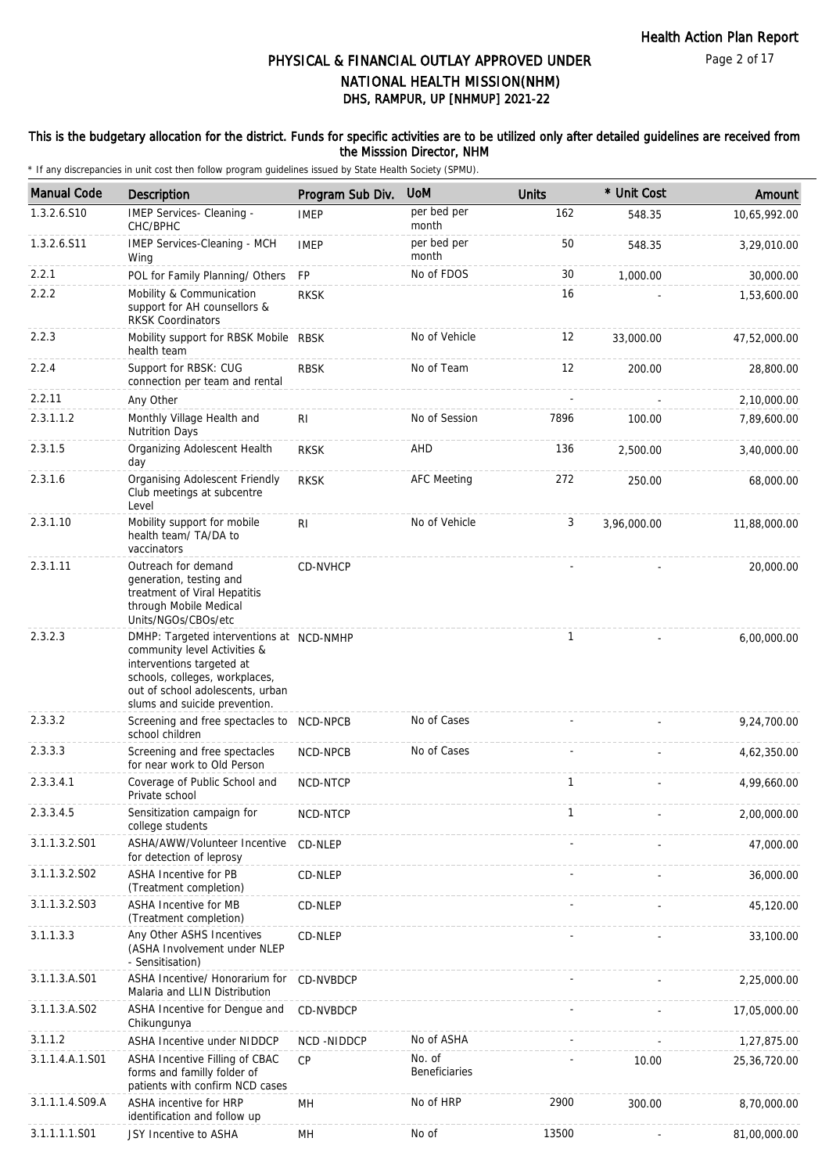#### This is the budgetary allocation for the district. Funds for specific activities are to be utilized only after detailed guidelines are received from the Misssion Director, NHM

| <b>Manual Code</b> | Description                                                                                                                                                                                                  | Program Sub Div. | <b>UoM</b>              | <b>Units</b> | * Unit Cost | Amount         |
|--------------------|--------------------------------------------------------------------------------------------------------------------------------------------------------------------------------------------------------------|------------------|-------------------------|--------------|-------------|----------------|
| 1.3.2.6.S10        | IMEP Services- Cleaning -<br>CHC/BPHC                                                                                                                                                                        | <b>IMEP</b>      | per bed per<br>month    | 162          | 548.35      | 10,65,992.00   |
| 1.3.2.6.S11        | IMEP Services-Cleaning - MCH<br>Wing                                                                                                                                                                         | <b>IMEP</b>      | per bed per<br>month    | 50           | 548.35      | 3,29,010.00    |
| 2.2.1              | POL for Family Planning/ Others                                                                                                                                                                              | <b>FP</b>        | No of FDOS              | 30           | 1,000.00    | 30,000.00      |
| 2.2.2              | Mobility & Communication<br>support for AH counsellors &<br><b>RKSK Coordinators</b>                                                                                                                         | <b>RKSK</b>      |                         | 16           |             | 1,53,600.00    |
| 2.2.3              | Mobility support for RBSK Mobile RBSK<br>health team                                                                                                                                                         |                  | No of Vehicle           | 12           | 33,000.00   | 47,52,000.00   |
| 2.2.4              | Support for RBSK: CUG<br>connection per team and rental                                                                                                                                                      | <b>RBSK</b>      | No of Team              | 12           | 200.00      | 28,800.00      |
| 2.2.11             | Any Other                                                                                                                                                                                                    |                  |                         |              |             | 2,10,000.00    |
| 2.3.1.1.2          | Monthly Village Health and<br><b>Nutrition Days</b>                                                                                                                                                          | RI.              | No of Session           | 7896         | 100.00      | 7,89,600.00    |
| 2.3.1.5            | Organizing Adolescent Health<br>day                                                                                                                                                                          | <b>RKSK</b>      | AHD                     | 136          | 2,500.00    | 3,40,000.00    |
| 2.3.1.6            | Organising Adolescent Friendly<br>Club meetings at subcentre<br>Level                                                                                                                                        | <b>RKSK</b>      | <b>AFC Meeting</b>      | 272          | 250.00      | 68,000.00      |
| 2.3.1.10           | Mobility support for mobile<br>health team/ TA/DA to<br>vaccinators                                                                                                                                          | RI.              | No of Vehicle           | 3            | 3,96,000.00 | 11,88,000.00   |
| 2.3.1.11           | Outreach for demand<br>generation, testing and<br>treatment of Viral Hepatitis<br>through Mobile Medical<br>Units/NGOs/CBOs/etc                                                                              | CD-NVHCP         |                         |              |             | 20,000.00      |
| 2.3.2.3            | DMHP: Targeted interventions at NCD-NMHP<br>community level Activities &<br>interventions targeted at<br>schools, colleges, workplaces,<br>out of school adolescents, urban<br>slums and suicide prevention. |                  |                         | 1            |             | 6,00,000.00    |
| 2.3.3.2            | Screening and free spectacles to NCD-NPCB<br>school children                                                                                                                                                 |                  | No of Cases             |              |             | 9,24,700.00    |
| 2.3.3.3            | Screening and free spectacles<br>for near work to Old Person                                                                                                                                                 | NCD-NPCB         | No of Cases             |              |             | 4,62,350.00    |
| 2.3.3.4.1          | Coverage of Public School and<br>Private school                                                                                                                                                              | NCD-NTCP         |                         | 1            |             | 4,99,660.00    |
| 2.3.3.4.5          | Sensitization campaign for<br>college students                                                                                                                                                               | NCD-NTCP         |                         | 1            |             | 2,00,000.00    |
| 3.1.1.3.2.S01      | ASHA/AWW/Volunteer Incentive<br>for detection of leprosy                                                                                                                                                     | CD-NLEP          |                         |              |             | 47,000.00      |
| 3.1.1.3.2.S02      | ASHA Incentive for PB<br>(Treatment completion)                                                                                                                                                              | CD-NLEP          |                         |              |             | 36,000.00      |
| 3.1.1.3.2.S03      | ASHA Incentive for MB<br>(Treatment completion)                                                                                                                                                              | CD-NLEP          |                         |              |             | 45,120.00      |
| 3.1.1.3.3          | Any Other ASHS Incentives<br>(ASHA Involvement under NLEP<br>- Sensitisation)                                                                                                                                | CD-NLEP          |                         |              |             | 33,100.00      |
| 3.1.1.3.A.S01      | ASHA Incentive/ Honorarium for<br>Malaria and LLIN Distribution                                                                                                                                              | CD-NVBDCP        |                         |              |             | 2,25,000.00    |
| 3.1.1.3.A.S02      | ASHA Incentive for Dengue and<br>Chikungunya                                                                                                                                                                 | CD-NVBDCP        |                         |              |             | 17,05,000.00   |
| 3.1.1.2            | ASHA Incentive under NIDDCP                                                                                                                                                                                  | NCD-NIDDCP       | No of ASHA              |              |             | 1,27,875.00    |
| 3.1.1.4.A.1.S01    | ASHA Incentive Filling of CBAC<br>forms and familly folder of<br>patients with confirm NCD cases                                                                                                             | CP               | No. of<br>Beneficiaries |              | 10.00       | 25, 36, 720.00 |
| 3.1.1.1.4.S09.A    | ASHA incentive for HRP<br>identification and follow up                                                                                                                                                       | MH               | No of HRP               | 2900         | 300.00      | 8,70,000.00    |
| 3.1.1.1.1.S01      | JSY Incentive to ASHA                                                                                                                                                                                        | MН               | No of                   | 13500        |             | 81,00,000.00   |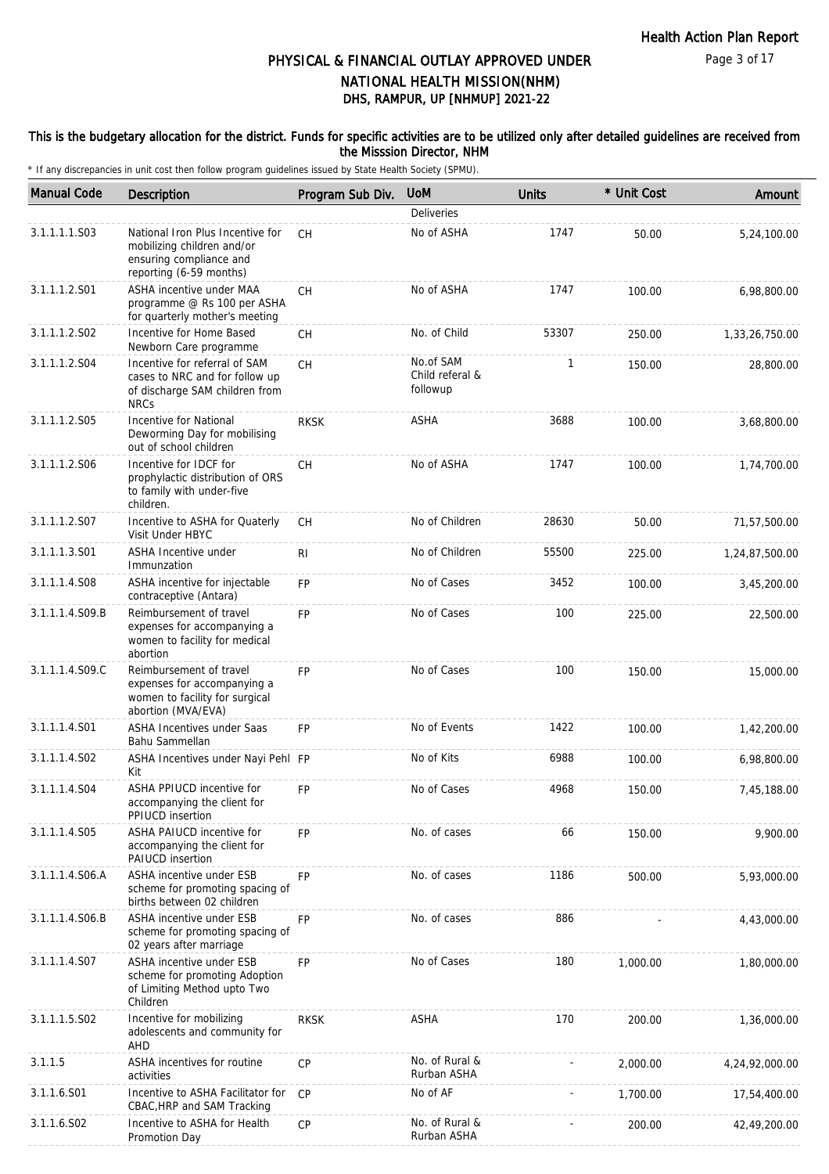#### This is the budgetary allocation for the district. Funds for specific activities are to be utilized only after detailed guidelines are received from the Misssion Director, NHM

| <b>Manual Code</b> | Description                                                                                                          | Program Sub Div. | <b>UoM</b>                               | <b>Units</b> | * Unit Cost | Amount         |
|--------------------|----------------------------------------------------------------------------------------------------------------------|------------------|------------------------------------------|--------------|-------------|----------------|
|                    |                                                                                                                      |                  | Deliveries                               |              |             |                |
| 3.1.1.1.1.S03      | National Iron Plus Incentive for<br>mobilizing children and/or<br>ensuring compliance and<br>reporting (6-59 months) | <b>CH</b>        | No of ASHA                               | 1747         | 50.00       | 5,24,100.00    |
| 3.1.1.1.2.S01      | ASHA incentive under MAA<br>programme @ Rs 100 per ASHA<br>for quarterly mother's meeting                            | <b>CH</b>        | No of ASHA                               | 1747         | 100.00      | 6,98,800.00    |
| 3.1.1.1.2.S02      | Incentive for Home Based<br>Newborn Care programme                                                                   | CH               | No. of Child                             | 53307        | 250.00      | 1,33,26,750.00 |
| 3.1.1.1.2.S04      | Incentive for referral of SAM<br>cases to NRC and for follow up<br>of discharge SAM children from<br><b>NRCs</b>     | <b>CH</b>        | No.of SAM<br>Child referal &<br>followup | 1            | 150.00      | 28,800.00      |
| 3.1.1.1.2.S05      | Incentive for National<br>Deworming Day for mobilising<br>out of school children                                     | <b>RKSK</b>      | ASHA                                     | 3688         | 100.00      | 3,68,800.00    |
| 3.1.1.1.2.S06      | Incentive for IDCF for<br>prophylactic distribution of ORS<br>to family with under-five<br>children.                 | CH               | No of ASHA                               | 1747         | 100.00      | 1,74,700.00    |
| 3.1.1.1.2.S07      | Incentive to ASHA for Quaterly<br>Visit Under HBYC                                                                   | CH               | No of Children                           | 28630        | 50.00       | 71,57,500.00   |
| 3.1.1.1.3.S01      | ASHA Incentive under<br>Immunzation                                                                                  | R <sub>l</sub>   | No of Children                           | 55500        | 225.00      | 1,24,87,500.00 |
| 3.1.1.1.4.S08      | ASHA incentive for injectable<br>contraceptive (Antara)                                                              | <b>FP</b>        | No of Cases                              | 3452         | 100.00      | 3,45,200.00    |
| 3.1.1.1.4.S09.B    | Reimbursement of travel<br>expenses for accompanying a<br>women to facility for medical<br>abortion                  | <b>FP</b>        | No of Cases                              | 100          | 225.00      | 22,500.00      |
| 3.1.1.1.4.S09.C    | Reimbursement of travel<br>expenses for accompanying a<br>women to facility for surgical<br>abortion (MVA/EVA)       | <b>FP</b>        | No of Cases                              | 100          | 150.00      | 15,000.00      |
| 3.1.1.1.4.S01      | <b>ASHA Incentives under Saas</b><br>Bahu Sammellan                                                                  | FP               | No of Events                             | 1422         | 100.00      | 1,42,200.00    |
| 3.1.1.1.4.S02      | ASHA Incentives under Nayi Pehl FP<br>Kit                                                                            |                  | No of Kits                               | 6988         | 100.00      | 6,98,800.00    |
| 3.1.1.1.4.S04      | ASHA PPIUCD incentive for<br>accompanying the client for<br>PPIUCD insertion                                         | <b>FP</b>        | No of Cases                              | 4968         | 150.00      | 7,45,188.00    |
| 3.1.1.1.4.S05      | ASHA PAIUCD incentive for<br>accompanying the client for<br><b>PAIUCD</b> insertion                                  | <b>FP</b>        | No. of cases                             | 66           | 150.00      | 9,900.00       |
| 3.1.1.1.4.S06.A    | ASHA incentive under ESB<br>scheme for promoting spacing of<br>births between 02 children                            | <b>FP</b>        | No. of cases                             | 1186         | 500.00      | 5,93,000.00    |
| 3.1.1.1.4.S06.B    | ASHA incentive under ESB<br>scheme for promoting spacing of<br>02 years after marriage                               | <b>FP</b>        | No. of cases                             | 886          |             | 4,43,000.00    |
| 3.1.1.1.4.S07      | ASHA incentive under ESB<br>scheme for promoting Adoption<br>of Limiting Method upto Two<br>Children                 | FP               | No of Cases                              | 180          | 1,000.00    | 1,80,000.00    |
| 3.1.1.1.5.S02      | Incentive for mobilizing<br>adolescents and community for<br>AHD                                                     | <b>RKSK</b>      | <b>ASHA</b>                              | 170          | 200.00      | 1,36,000.00    |
| 3.1.1.5            | ASHA incentives for routine<br>activities                                                                            | CP               | No. of Rural &<br>Rurban ASHA            |              | 2,000.00    | 4,24,92,000.00 |
| 3.1.1.6.S01        | Incentive to ASHA Facilitator for<br>CBAC, HRP and SAM Tracking                                                      | CP               | No of AF                                 |              | 1,700.00    | 17,54,400.00   |
| 3.1.1.6.S02        | Incentive to ASHA for Health<br>Promotion Day                                                                        | CP               | No. of Rural &<br>Rurban ASHA            |              | 200.00      | 42,49,200.00   |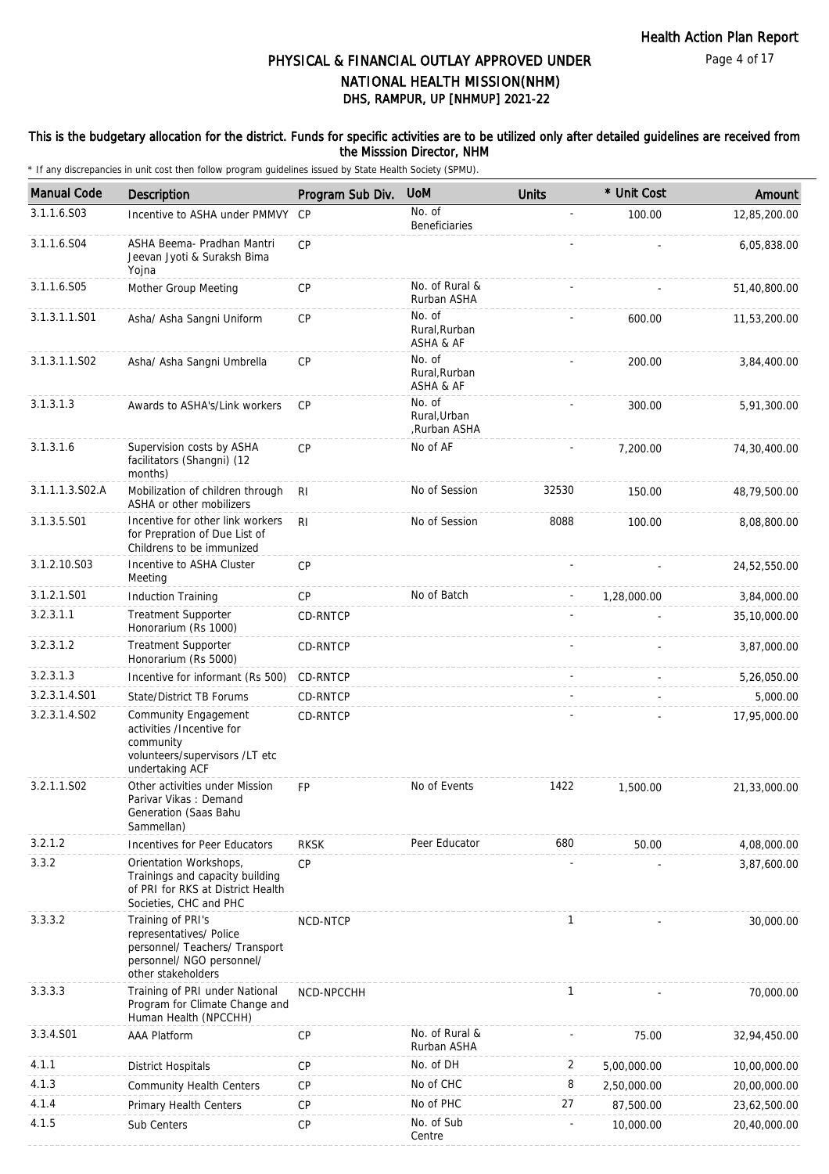#### This is the budgetary allocation for the district. Funds for specific activities are to be utilized only after detailed guidelines are received from the Misssion Director, NHM

| <b>Manual Code</b> | Description                                                                                                                       | Program Sub Div. | <b>UoM</b>                             | <b>Units</b> | * Unit Cost | Amount       |
|--------------------|-----------------------------------------------------------------------------------------------------------------------------------|------------------|----------------------------------------|--------------|-------------|--------------|
| 3.1.1.6.S03        | Incentive to ASHA under PMMVY                                                                                                     | CP               | No. of<br>Beneficiaries                | ÷,           | 100.00      | 12,85,200.00 |
| 3.1.1.6.S04        | ASHA Beema- Pradhan Mantri<br>Jeevan Jyoti & Suraksh Bima<br>Yojna                                                                | CP               |                                        |              |             | 6,05,838.00  |
| 3.1.1.6.S05        | Mother Group Meeting                                                                                                              | <b>CP</b>        | No. of Rural &<br>Rurban ASHA          |              |             | 51,40,800.00 |
| 3.1.3.1.1.S01      | Asha/ Asha Sangni Uniform                                                                                                         | CP               | No. of<br>Rural, Rurban<br>ASHA & AF   |              | 600.00      | 11,53,200.00 |
| 3.1.3.1.1.S02      | Asha/ Asha Sangni Umbrella                                                                                                        | CP               | No. of<br>Rural, Rurban<br>ASHA & AF   |              | 200.00      | 3,84,400.00  |
| 3.1.3.1.3          | Awards to ASHA's/Link workers                                                                                                     | <b>CP</b>        | No. of<br>Rural, Urban<br>,Rurban ASHA |              | 300.00      | 5,91,300.00  |
| 3.1.3.1.6          | Supervision costs by ASHA<br>facilitators (Shangni) (12<br>months)                                                                | CP               | No of AF                               |              | 7,200.00    | 74,30,400.00 |
| 3.1.1.1.3.S02.A    | Mobilization of children through<br>ASHA or other mobilizers                                                                      | R <sub>l</sub>   | No of Session                          | 32530        | 150.00      | 48,79,500.00 |
| 3.1.3.5.S01        | Incentive for other link workers<br>for Prepration of Due List of<br>Childrens to be immunized                                    | R <sub>l</sub>   | No of Session                          | 8088         | 100.00      | 8,08,800.00  |
| 3.1.2.10.S03       | Incentive to ASHA Cluster<br>Meeting                                                                                              | CP               |                                        |              |             | 24,52,550.00 |
| 3.1.2.1.S01        | <b>Induction Training</b>                                                                                                         | CP               | No of Batch                            |              | 1,28,000.00 | 3,84,000.00  |
| 3.2.3.1.1          | <b>Treatment Supporter</b><br>Honorarium (Rs 1000)                                                                                | CD-RNTCP         |                                        |              |             | 35,10,000.00 |
| 3.2.3.1.2          | <b>Treatment Supporter</b><br>Honorarium (Rs 5000)                                                                                | CD-RNTCP         |                                        |              |             | 3,87,000.00  |
| 3.2.3.1.3          | Incentive for informant (Rs 500)                                                                                                  | CD-RNTCP         |                                        |              |             | 5,26,050.00  |
| 3.2.3.1.4.S01      | State/District TB Forums                                                                                                          | CD-RNTCP         |                                        |              |             | 5,000.00     |
| 3.2.3.1.4.S02      | Community Engagement<br>activities /Incentive for<br>community<br>volunteers/supervisors /LT etc<br>undertaking ACF               | CD-RNTCP         |                                        |              |             | 17,95,000.00 |
| 3.2.1.1.S02        | Other activities under Mission<br>Parivar Vikas: Demand<br>Generation (Saas Bahu<br>Sammellan)                                    | <b>FP</b>        | No of Events                           | 1422         | 1,500.00    | 21,33,000.00 |
| 3.2.1.2            | Incentives for Peer Educators                                                                                                     | <b>RKSK</b>      | Peer Educator                          | 680          | 50.00       | 4.08.000.00  |
| 3.3.2              | Orientation Workshops,<br>Trainings and capacity building<br>of PRI for RKS at District Health<br>Societies, CHC and PHC          | CP               |                                        |              |             | 3,87,600.00  |
| 3.3.3.2            | Training of PRI's<br>representatives/ Police<br>personnel/ Teachers/ Transport<br>personnel/ NGO personnel/<br>other stakeholders | NCD-NTCP         |                                        | $\mathbf{1}$ |             | 30,000.00    |
| 3.3.3.3            | Training of PRI under National<br>Program for Climate Change and<br>Human Health (NPCCHH)                                         | NCD-NPCCHH       |                                        | 1            |             | 70,000.00    |
| 3.3.4.S01          | <b>AAA Platform</b>                                                                                                               | CP               | No. of Rural &<br>Rurban ASHA          |              | 75.00       | 32,94,450.00 |
| 4.1.1              | <b>District Hospitals</b>                                                                                                         | <b>CP</b>        | No. of DH                              | 2            | 5,00,000.00 | 10,00,000.00 |
| 4.1.3              | <b>Community Health Centers</b>                                                                                                   | <b>CP</b>        | No of CHC                              | 8            | 2,50,000.00 | 20,00,000.00 |
| 4.1.4              | Primary Health Centers                                                                                                            | <b>CP</b>        | No of PHC                              | 27           | 87,500.00   | 23,62,500.00 |
| 4.1.5              | Sub Centers                                                                                                                       | CP               | No. of Sub<br>Centre                   |              | 10,000.00   | 20,40,000.00 |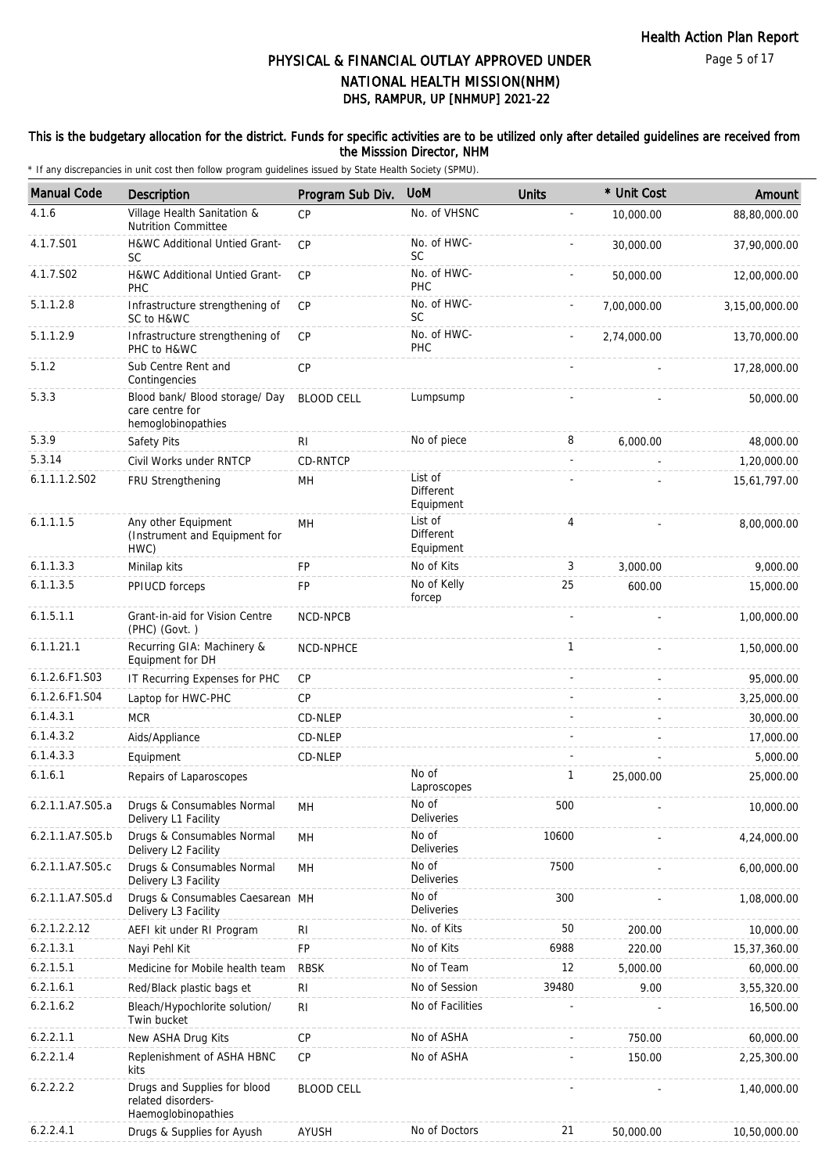#### This is the budgetary allocation for the district. Funds for specific activities are to be utilized only after detailed guidelines are received from the Misssion Director, NHM

| <b>Manual Code</b> | <b>Description</b>                                                        | Program Sub Div.  | <b>UoM</b>                               | <b>Units</b>   | * Unit Cost | Amount         |
|--------------------|---------------------------------------------------------------------------|-------------------|------------------------------------------|----------------|-------------|----------------|
| 4.1.6              | Village Health Sanitation &<br><b>Nutrition Committee</b>                 | <b>CP</b>         | No. of VHSNC                             |                | 10,000.00   | 88,80,000.00   |
| 4.1.7.S01          | H&WC Additional Untied Grant-<br><b>SC</b>                                | CP                | No. of HWC-<br>SC                        |                | 30,000.00   | 37,90,000.00   |
| 4.1.7.S02          | H&WC Additional Untied Grant-<br>PHC                                      | CP                | No. of HWC-<br>PHC                       |                | 50,000.00   | 12,00,000.00   |
| 5.1.1.2.8          | Infrastructure strengthening of<br>SC to H&WC                             | <b>CP</b>         | No. of HWC-<br>SC                        |                | 7,00,000.00 | 3,15,00,000.00 |
| 5.1.1.2.9          | Infrastructure strengthening of<br>PHC to H&WC                            | CP                | No. of HWC-<br>PHC                       |                | 2,74,000.00 | 13,70,000.00   |
| 5.1.2              | Sub Centre Rent and<br>Contingencies                                      | CP                |                                          |                |             | 17,28,000.00   |
| 5.3.3              | Blood bank/ Blood storage/ Day<br>care centre for<br>hemoglobinopathies   | <b>BLOOD CELL</b> | Lumpsump                                 |                |             | 50,000.00      |
| 5.3.9              | Safety Pits                                                               | RI                | No of piece                              | 8              | 6,000.00    | 48,000.00      |
| 5.3.14             | Civil Works under RNTCP                                                   | CD-RNTCP          |                                          |                |             | 1,20,000.00    |
| 6.1.1.1.2.S02      | FRU Strengthening                                                         | MH                | List of<br>Different<br>Equipment        |                |             | 15,61,797.00   |
| 6.1.1.1.5          | Any other Equipment<br>(Instrument and Equipment for<br>HWC)              | MH                | List of<br><b>Different</b><br>Equipment | $\overline{4}$ |             | 8.00.000.00    |
| 6.1.1.3.3          | Minilap kits                                                              | <b>FP</b>         | No of Kits                               | 3              | 3.000.00    | 9,000.00       |
| 6.1.1.3.5          | PPIUCD forceps                                                            | FP                | No of Kelly<br>forcep                    | 25             | 600.00      | 15,000.00      |
| 6.1.5.1.1          | Grant-in-aid for Vision Centre<br>(PHC) (Govt.)                           | NCD-NPCB          |                                          |                |             | 1,00,000.00    |
| 6.1.1.21.1         | Recurring GIA: Machinery &<br>Equipment for DH                            | NCD-NPHCE         |                                          | $\mathbf{1}$   |             | 1,50,000.00    |
| 6.1.2.6.F1.S03     | IT Recurring Expenses for PHC                                             | CP                |                                          |                |             | 95,000.00      |
| 6.1.2.6.F1.S04     | Laptop for HWC-PHC                                                        | CP                |                                          |                |             | 3,25,000.00    |
| 6.1.4.3.1          | <b>MCR</b>                                                                | CD-NLEP           |                                          |                |             | 30,000.00      |
| 6.1.4.3.2          | Aids/Appliance                                                            | CD-NLEP           |                                          |                |             | 17,000.00      |
| 6.1.4.3.3          | Equipment                                                                 | CD-NLEP           |                                          |                |             | 5,000.00       |
| 6.1.6.1            | Repairs of Laparoscopes                                                   |                   | No of<br>Laproscopes                     | $\mathbf{1}$   | 25,000.00   | 25,000.00      |
| 6.2.1.1.A7.S05.a   | Drugs & Consumables Normal<br>Delivery L1 Facility                        | MH                | No of<br>Deliveries                      | 500            |             | 10,000.00      |
| 6.2.1.1.A7.S05.b   | Drugs & Consumables Normal<br>Delivery L2 Facility                        | MH                | No of<br>Deliveries                      | 10600          |             | 4,24,000.00    |
| 6.2.1.1.A7.S05.c   | Drugs & Consumables Normal<br>Delivery L3 Facility                        | MH                | No of<br>Deliveries                      | 7500           |             | 6,00,000.00    |
| 6.2.1.1.A7.S05.d   | Drugs & Consumables Caesarean MH<br>Delivery L3 Facility                  |                   | No of<br>Deliveries                      | 300            |             | 1,08,000.00    |
| 6.2.1.2.2.12       | AEFI kit under RI Program                                                 | RI                | No. of Kits                              | 50             | 200.00      | 10,000.00      |
| 6.2.1.3.1          | Nayi Pehl Kit                                                             | <b>FP</b>         | No of Kits                               | 6988           | 220.00      | 15,37,360.00   |
| 6.2.1.5.1          | Medicine for Mobile health team                                           | <b>RBSK</b>       | No of Team                               | 12             | 5,000.00    | 60,000.00      |
| 6.2.1.6.1          | Red/Black plastic bags et                                                 | <b>RI</b>         | No of Session                            | 39480          | 9.00        | 3,55,320.00    |
| 6.2.1.6.2          | Bleach/Hypochlorite solution/<br>Twin bucket                              | R <sub>l</sub>    | No of Facilities                         |                |             | 16,500.00      |
| 6.2.2.1.1          | New ASHA Drug Kits                                                        | CP                | No of ASHA                               |                | 750.00      | 60,000.00      |
| 6.2.2.1.4          | Replenishment of ASHA HBNC<br>kits                                        | <b>CP</b>         | No of ASHA                               |                | 150.00      | 2,25,300.00    |
| 6.2.2.2.2          | Drugs and Supplies for blood<br>related disorders-<br>Haemoglobinopathies | <b>BLOOD CELL</b> |                                          |                |             | 1,40,000.00    |
| 6.2.2.4.1          | Drugs & Supplies for Ayush                                                | AYUSH             | No of Doctors                            | 21             | 50,000.00   | 10,50,000.00   |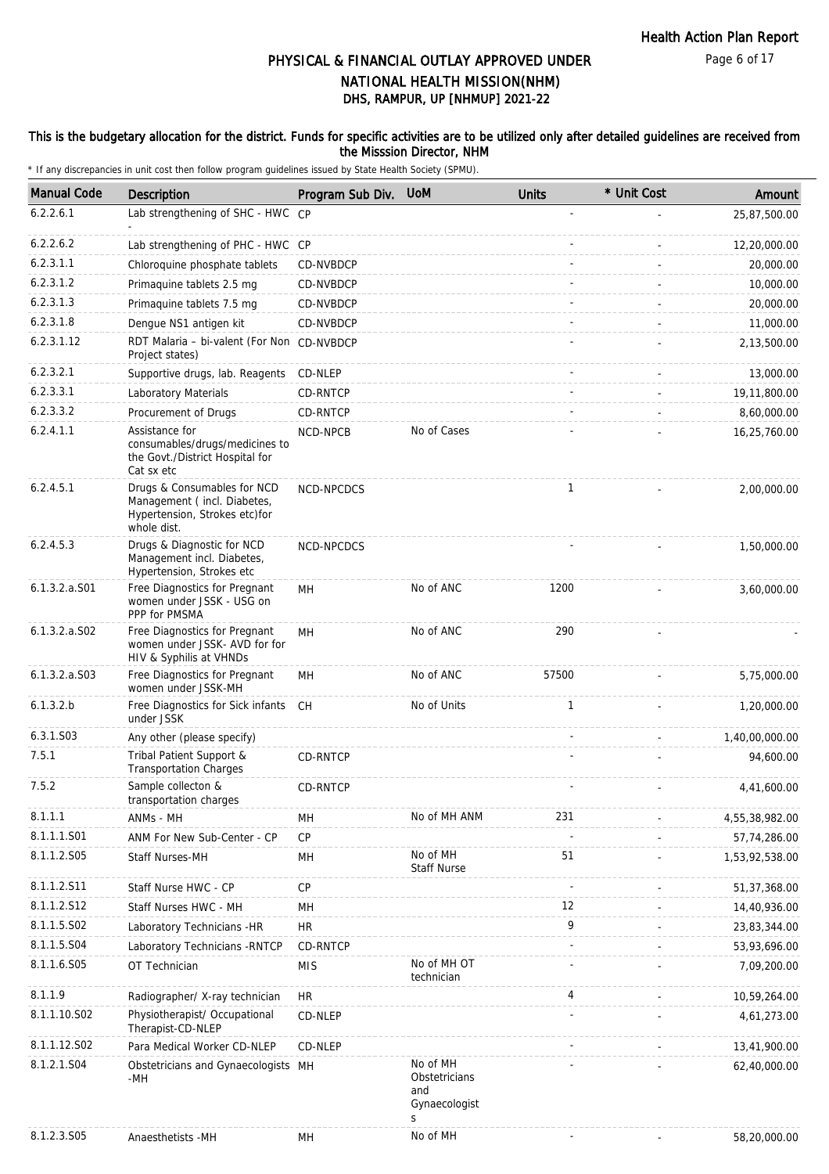#### This is the budgetary allocation for the district. Funds for specific activities are to be utilized only after detailed guidelines are received from the Misssion Director, NHM

| <b>Manual Code</b> | Description                                                                                                | Program Sub Div. | <b>UoM</b>                                             | <b>Units</b> | * Unit Cost | Amount         |
|--------------------|------------------------------------------------------------------------------------------------------------|------------------|--------------------------------------------------------|--------------|-------------|----------------|
| 6.2.2.6.1          | Lab strengthening of SHC - HWC CP                                                                          |                  |                                                        |              |             | 25,87,500.00   |
| 6.2.2.6.2          | Lab strengthening of PHC - HWC CP                                                                          |                  |                                                        |              |             | 12,20,000.00   |
| 6.2.3.1.1          | Chloroquine phosphate tablets                                                                              | CD-NVBDCP        |                                                        |              |             | 20,000.00      |
| 6.2.3.1.2          | Primaquine tablets 2.5 mg                                                                                  | CD-NVBDCP        |                                                        |              |             | 10,000.00      |
| 6.2.3.1.3          | Primaquine tablets 7.5 mg                                                                                  | CD-NVBDCP        |                                                        |              |             | 20,000.00      |
| 6.2.3.1.8          | Dengue NS1 antigen kit                                                                                     | CD-NVBDCP        |                                                        |              |             | 11,000.00      |
| 6.2.3.1.12         | RDT Malaria - bi-valent (For Non CD-NVBDCP<br>Project states)                                              |                  |                                                        |              |             | 2,13,500.00    |
| 6.2.3.2.1          | Supportive drugs, lab. Reagents                                                                            | CD-NLEP          |                                                        |              |             | 13,000.00      |
| 6.2.3.3.1          | Laboratory Materials                                                                                       | CD-RNTCP         |                                                        |              |             | 19,11,800.00   |
| 6.2.3.3.2          | Procurement of Drugs                                                                                       | CD-RNTCP         |                                                        |              |             | 8,60,000.00    |
| 6.2.4.1.1          | Assistance for<br>consumables/drugs/medicines to<br>the Govt./District Hospital for<br>Cat sx etc          | NCD-NPCB         | No of Cases                                            |              |             | 16,25,760.00   |
| 6.2.4.5.1          | Drugs & Consumables for NCD<br>Management (incl. Diabetes,<br>Hypertension, Strokes etc)for<br>whole dist. | NCD-NPCDCS       |                                                        | $\mathbf{1}$ |             | 2,00,000.00    |
| 6.2.4.5.3          | Drugs & Diagnostic for NCD<br>Management incl. Diabetes,<br>Hypertension, Strokes etc                      | NCD-NPCDCS       |                                                        |              |             | 1,50,000.00    |
| 6.1.3.2.a.S01      | Free Diagnostics for Pregnant<br>women under JSSK - USG on<br>PPP for PMSMA                                | <b>MH</b>        | No of ANC                                              | 1200         |             | 3,60,000.00    |
| $6.1.3.2.a.$ SO2   | Free Diagnostics for Pregnant<br>women under JSSK- AVD for for<br>HIV & Syphilis at VHNDs                  | MH               | No of ANC                                              | 290          |             |                |
| $6.1.3.2.a.$ SO3   | Free Diagnostics for Pregnant<br>women under JSSK-MH                                                       | MН               | No of ANC                                              | 57500        |             | 5,75,000.00    |
| 6.1.3.2.b          | Free Diagnostics for Sick infants<br>under JSSK                                                            | CH               | No of Units                                            | $\mathbf{1}$ |             | 1,20,000.00    |
| 6.3.1.S03          | Any other (please specify)                                                                                 |                  |                                                        |              |             | 1,40,00,000.00 |
| 7.5.1              | Tribal Patient Support &<br><b>Transportation Charges</b>                                                  | CD-RNTCP         |                                                        |              |             | 94,600.00      |
| 7.5.2              | Sample collecton &<br>transportation charges                                                               | CD-RNTCP         |                                                        |              |             | 4,41,600.00    |
| 8.1.1.1            | ANMs - MH                                                                                                  | MH               | No of MH ANM                                           | 231          |             | 4,55,38,982.00 |
| 8.1.1.1.S01        | ANM For New Sub-Center - CP                                                                                | CP               |                                                        |              |             | 57,74,286.00   |
| 8.1.1.2.S05        | Staff Nurses-MH                                                                                            | MH               | No of MH<br><b>Staff Nurse</b>                         | 51           |             | 1,53,92,538.00 |
| 8.1.1.2.S11        | Staff Nurse HWC - CP                                                                                       | CP               |                                                        |              |             | 51,37,368.00   |
| 8.1.1.2.S12        | Staff Nurses HWC - MH                                                                                      | MН               |                                                        | 12           |             | 14,40,936.00   |
| 8.1.1.5.S02        | Laboratory Technicians -HR                                                                                 | <b>HR</b>        |                                                        | 9            |             | 23,83,344.00   |
| 8.1.1.5.S04        | Laboratory Technicians - RNTCP                                                                             | CD-RNTCP         |                                                        |              |             | 53,93,696.00   |
| 8.1.1.6.S05        | OT Technician                                                                                              | <b>MIS</b>       | No of MH OT<br>technician                              |              |             | 7,09,200.00    |
| 8.1.1.9            | Radiographer/ X-ray technician                                                                             | HR               |                                                        | 4            |             | 10,59,264.00   |
| 8.1.1.10.S02       | Physiotherapist/ Occupational<br>Therapist-CD-NLEP                                                         | CD-NLEP          |                                                        |              |             | 4,61,273.00    |
| 8.1.1.12.S02       | Para Medical Worker CD-NLEP                                                                                | CD-NLEP          |                                                        |              |             | 13,41,900.00   |
| 8.1.2.1.S04        | Obstetricians and Gynaecologists MH<br>-MH                                                                 |                  | No of MH<br>Obstetricians<br>and<br>Gynaecologist<br>S |              |             | 62,40,000.00   |
| 8.1.2.3.S05        | Anaesthetists -MH                                                                                          | MН               | No of MH                                               |              |             | 58,20,000.00   |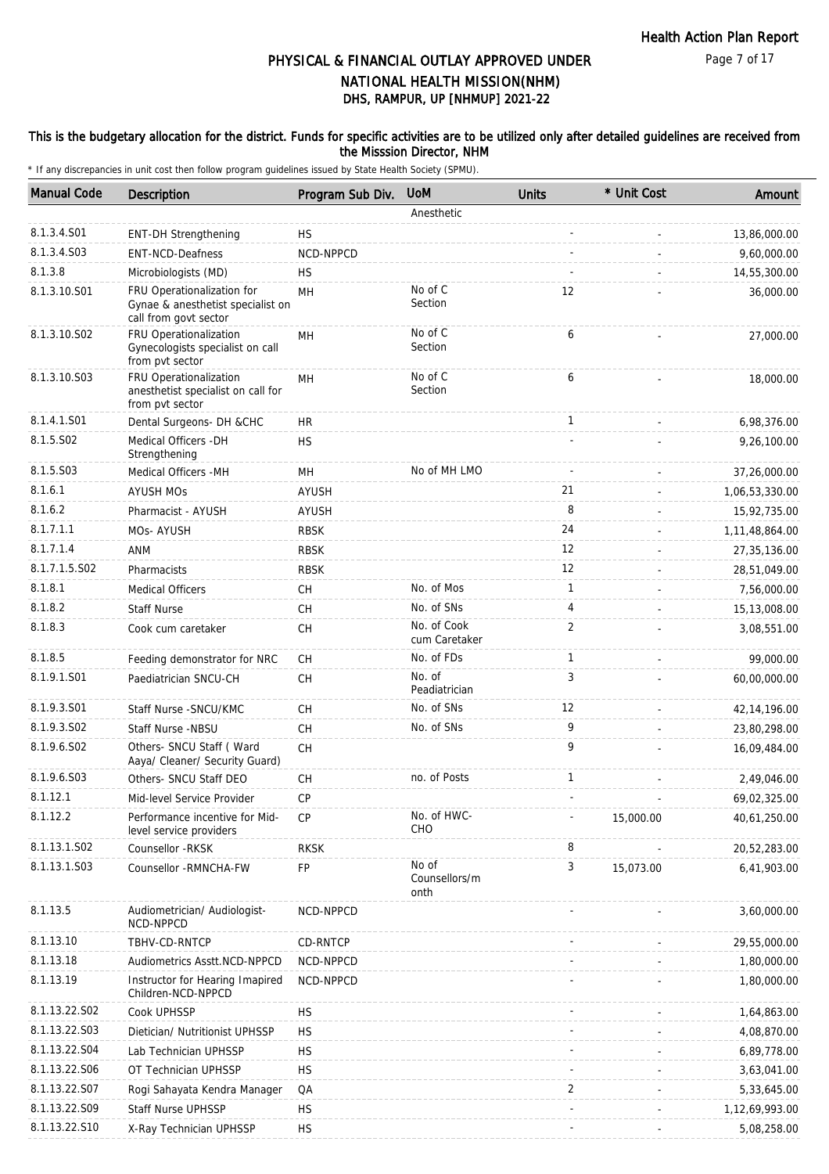#### This is the budgetary allocation for the district. Funds for specific activities are to be utilized only after detailed guidelines are received from the Misssion Director, NHM

| <b>Manual Code</b> | <b>Description</b>                                                                       | Program Sub Div. | <b>UoM</b>                     | <b>Units</b> | * Unit Cost | Amount         |
|--------------------|------------------------------------------------------------------------------------------|------------------|--------------------------------|--------------|-------------|----------------|
|                    |                                                                                          |                  | Anesthetic                     |              |             |                |
| 8.1.3.4.S01        | <b>ENT-DH Strengthening</b>                                                              | НS               |                                |              |             | 13,86,000.00   |
| 8.1.3.4.S03        | <b>ENT-NCD-Deafness</b>                                                                  | NCD-NPPCD        |                                |              |             | 9,60,000.00    |
| 8.1.3.8            | Microbiologists (MD)                                                                     | <b>HS</b>        |                                |              |             | 14,55,300.00   |
| 8.1.3.10.S01       | FRU Operationalization for<br>Gynae & anesthetist specialist on<br>call from govt sector | MН               | No of C<br>Section             | 12           |             | 36,000.00      |
| 8.1.3.10.S02       | FRU Operationalization<br>Gynecologists specialist on call<br>from pvt sector            | MН               | No of C<br>Section             | 6            |             | 27,000.00      |
| 8.1.3.10.S03       | FRU Operationalization<br>anesthetist specialist on call for<br>from pvt sector          | MН               | No of C<br>Section             | 6            |             | 18,000.00      |
| 8.1.4.1.S01        | Dental Surgeons- DH &CHC                                                                 | HR               |                                | 1            |             | 6,98,376.00    |
| 8.1.5.S02          | Medical Officers - DH<br>Strengthening                                                   | <b>HS</b>        |                                |              |             | 9,26,100.00    |
| 8.1.5.S03          | Medical Officers - MH                                                                    | MH               | No of MH LMO                   |              |             | 37,26,000.00   |
| 8.1.6.1            | <b>AYUSH MOs</b>                                                                         | <b>AYUSH</b>     |                                | 21           |             | 1,06,53,330.00 |
| 8.1.6.2            | Pharmacist - AYUSH                                                                       | AYUSH            |                                | 8            |             | 15,92,735.00   |
| 8.1.7.1.1          | MOs- AYUSH                                                                               | <b>RBSK</b>      |                                | 24           |             | 1,11,48,864.00 |
| 8.1.7.1.4          | ANM                                                                                      | <b>RBSK</b>      |                                | 12           |             | 27, 35, 136.00 |
| 8.1.7.1.5.S02      | Pharmacists                                                                              | <b>RBSK</b>      |                                | 12           |             | 28,51,049.00   |
| 8.1.8.1            | <b>Medical Officers</b>                                                                  | СH               | No. of Mos                     | $\mathbf{1}$ |             | 7,56,000.00    |
| 8.1.8.2            | <b>Staff Nurse</b>                                                                       | <b>CH</b>        | No. of SNs                     | 4            |             | 15,13,008.00   |
| 8.1.8.3            | Cook cum caretaker                                                                       | CH               | No. of Cook<br>cum Caretaker   | 2            |             | 3,08,551.00    |
| 8.1.8.5            | Feeding demonstrator for NRC                                                             | <b>CH</b>        | No. of FDs                     | $\mathbf{1}$ |             | 99,000.00      |
| 8.1.9.1.S01        | Paediatrician SNCU-CH                                                                    | CH               | No. of<br>Peadiatrician        | 3            |             | 60,00,000.00   |
| 8.1.9.3.S01        | Staff Nurse - SNCU/KMC                                                                   | <b>CH</b>        | No. of SNs                     | 12           |             | 42, 14, 196.00 |
| 8.1.9.3.SO2        | Staff Nurse -NBSU                                                                        | CH               | No. of SNs                     | 9            |             | 23,80,298.00   |
| 8.1.9.6.SO2        | Others- SNCU Staff ( Ward<br>Aaya/ Cleaner/ Security Guard)                              | <b>CH</b>        |                                | 9            |             | 16,09,484.00   |
| 8.1.9.6.S03        | Others- SNCU Staff DEO                                                                   | CH               | no. of Posts                   | $\mathbf{1}$ |             | 2,49,046.00    |
| 8.1.12.1           | Mid-level Service Provider                                                               | <b>CP</b>        |                                |              |             | 69,02,325.00   |
| 8.1.12.2           | Performance incentive for Mid-<br>level service providers                                | <b>CP</b>        | No. of HWC-<br>CHO             |              | 15,000.00   | 40,61,250.00   |
| 8.1.13.1.S02       | Counsellor - RKSK                                                                        | <b>RKSK</b>      |                                | 8            |             | 20,52,283.00   |
| 8.1.13.1.S03       | Counsellor - RMNCHA-FW                                                                   | FP               | No of<br>Counsellors/m<br>onth | 3            | 15,073.00   | 6,41,903.00    |
| 8.1.13.5           | Audiometrician/ Audiologist-<br>NCD-NPPCD                                                | NCD-NPPCD        |                                |              |             | 3,60,000.00    |
| 8.1.13.10          | TBHV-CD-RNTCP                                                                            | CD-RNTCP         |                                |              |             | 29,55,000.00   |
| 8.1.13.18          | Audiometrics Asstt.NCD-NPPCD                                                             | NCD-NPPCD        |                                |              |             | 1,80,000.00    |
| 8.1.13.19          | Instructor for Hearing Imapired<br>Children-NCD-NPPCD                                    | NCD-NPPCD        |                                |              |             | 1,80,000.00    |
| 8.1.13.22.S02      | Cook UPHSSP                                                                              | <b>HS</b>        |                                |              |             | 1,64,863.00    |
| 8.1.13.22.S03      | Dietician/ Nutritionist UPHSSP                                                           | <b>HS</b>        |                                |              |             | 4,08,870.00    |
| 8.1.13.22.S04      | Lab Technician UPHSSP                                                                    | <b>HS</b>        |                                |              |             | 6,89,778.00    |
| 8.1.13.22.S06      | OT Technician UPHSSP                                                                     | <b>HS</b>        |                                |              |             | 3,63,041.00    |
| 8.1.13.22.S07      | Rogi Sahayata Kendra Manager                                                             | QA               |                                | 2            |             | 5,33,645.00    |
| 8.1.13.22.S09      | Staff Nurse UPHSSP                                                                       | <b>HS</b>        |                                |              |             | 1,12,69,993.00 |
| 8.1.13.22.S10      | X-Ray Technician UPHSSP                                                                  | <b>HS</b>        |                                |              |             | 5,08,258.00    |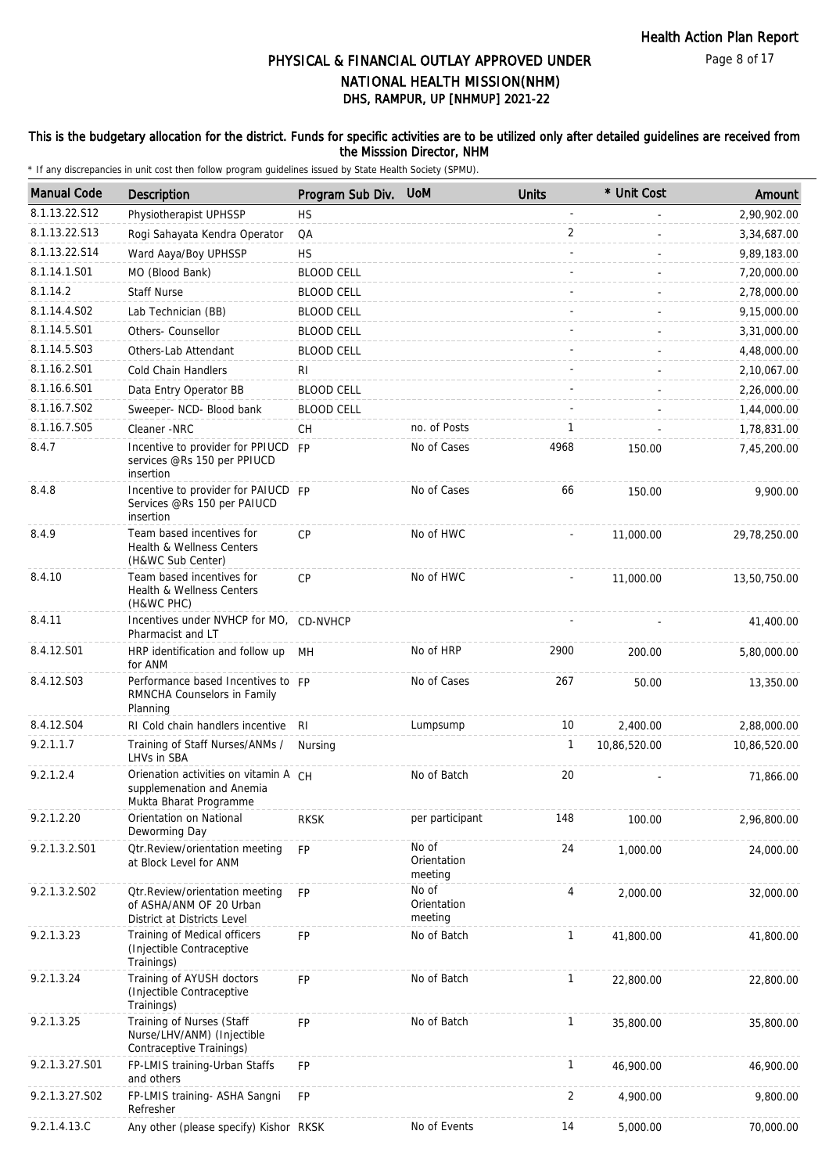#### This is the budgetary allocation for the district. Funds for specific activities are to be utilized only after detailed guidelines are received from the Misssion Director, NHM

| <b>Manual Code</b> | Description                                                                                  | Program Sub Div.  | <b>UoM</b>                      | <b>Units</b> | * Unit Cost  | Amount       |
|--------------------|----------------------------------------------------------------------------------------------|-------------------|---------------------------------|--------------|--------------|--------------|
| 8.1.13.22.S12      | Physiotherapist UPHSSP                                                                       | <b>HS</b>         |                                 |              |              | 2,90,902.00  |
| 8.1.13.22.S13      | Rogi Sahayata Kendra Operator                                                                | QA                |                                 | 2            |              | 3,34,687.00  |
| 8.1.13.22.S14      | Ward Aaya/Boy UPHSSP                                                                         | <b>HS</b>         |                                 |              |              | 9,89,183.00  |
| 8.1.14.1.S01       | MO (Blood Bank)                                                                              | <b>BLOOD CELL</b> |                                 |              |              | 7,20,000.00  |
| 8.1.14.2           | <b>Staff Nurse</b>                                                                           | <b>BLOOD CELL</b> |                                 |              |              | 2,78,000.00  |
| 8.1.14.4.S02       | Lab Technician (BB)                                                                          | <b>BLOOD CELL</b> |                                 |              |              | 9,15,000.00  |
| 8.1.14.5.S01       | Others- Counsellor                                                                           | <b>BLOOD CELL</b> |                                 |              |              | 3,31,000.00  |
| 8.1.14.5.S03       | Others-Lab Attendant                                                                         | <b>BLOOD CELL</b> |                                 |              |              | 4,48,000.00  |
| 8.1.16.2.S01       | <b>Cold Chain Handlers</b>                                                                   | RI                |                                 |              |              | 2,10,067.00  |
| 8.1.16.6.S01       | Data Entry Operator BB                                                                       | <b>BLOOD CELL</b> |                                 |              |              | 2,26,000.00  |
| 8.1.16.7.S02       | Sweeper- NCD- Blood bank                                                                     | <b>BLOOD CELL</b> |                                 |              |              | 1,44,000.00  |
| 8.1.16.7.S05       | Cleaner -NRC                                                                                 | <b>CH</b>         | no. of Posts                    | 1            |              | 1,78,831.00  |
| 8.4.7              | Incentive to provider for PPIUCD FP                                                          |                   | No of Cases                     | 4968         | 150.00       | 7,45,200.00  |
|                    | services @Rs 150 per PPIUCD<br>insertion                                                     |                   |                                 |              |              |              |
| 8.4.8              | Incentive to provider for PAIUCD FP<br>Services @Rs 150 per PAIUCD<br>insertion              |                   | No of Cases                     | 66           | 150.00       | 9,900.00     |
| 8.4.9              | Team based incentives for<br>Health & Wellness Centers<br>(H&WC Sub Center)                  | <b>CP</b>         | No of HWC                       |              | 11,000.00    | 29,78,250.00 |
| 8.4.10             | Team based incentives for<br>Health & Wellness Centers<br>(H&WC PHC)                         | CP                | No of HWC                       |              | 11,000.00    | 13,50,750.00 |
| 8.4.11             | Incentives under NVHCP for MO, CD-NVHCP<br>Pharmacist and LT                                 |                   |                                 |              |              | 41,400.00    |
| 8.4.12.S01         | HRP identification and follow up<br>for ANM                                                  | MН                | No of HRP                       | 2900         | 200.00       | 5,80,000.00  |
| 8.4.12.S03         | Performance based Incentives to FP<br>RMNCHA Counselors in Family<br>Planning                |                   | No of Cases                     | 267          | 50.00        | 13,350.00    |
| 8.4.12.S04         | RI Cold chain handlers incentive                                                             | RI.               | Lumpsump                        | 10           | 2,400.00     | 2,88,000.00  |
| 9.2.1.1.7          | Training of Staff Nurses/ANMs /<br>LHVs in SBA                                               | Nursing           |                                 | 1            | 10,86,520.00 | 10,86,520.00 |
| 9.2.1.2.4          | Orienation activities on vitamin A CH<br>supplemenation and Anemia<br>Mukta Bharat Programme |                   | No of Batch                     | 20           |              | 71,866.00    |
| 9.2.1.2.20         | Orientation on National<br>Deworming Day                                                     | <b>RKSK</b>       | per participant                 | 148          | 100.00       | 2,96,800.00  |
| 9.2.1.3.2.S01      | Otr.Review/orientation meeting<br>at Block Level for ANM                                     | <b>FP</b>         | No of<br>Orientation<br>meeting | 24           | 1,000.00     | 24,000.00    |
| 9.2.1.3.2.S02      | Otr. Review/orientation meeting<br>of ASHA/ANM OF 20 Urban<br>District at Districts Level    | <b>FP</b>         | No of<br>Orientation<br>meeting | 4            | 2,000.00     | 32,000.00    |
| 9.2.1.3.23         | Training of Medical officers<br>(Injectible Contraceptive<br>Trainings)                      | FP.               | No of Batch                     | $\mathbf{1}$ | 41,800.00    | 41,800.00    |
| 9.2.1.3.24         | Training of AYUSH doctors<br>(Injectible Contraceptive<br>Trainings)                         | <b>FP</b>         | No of Batch                     | $\mathbf{1}$ | 22,800.00    | 22,800.00    |
| 9.2.1.3.25         | Training of Nurses (Staff<br>Nurse/LHV/ANM) (Injectible<br>Contraceptive Trainings)          | <b>FP</b>         | No of Batch                     | $\mathbf{1}$ | 35,800.00    | 35,800.00    |
| 9.2.1.3.27.S01     | FP-LMIS training-Urban Staffs<br>and others                                                  | <b>FP</b>         |                                 | $\mathbf{1}$ | 46,900.00    | 46,900.00    |
| 9.2.1.3.27.S02     | FP-LMIS training- ASHA Sangni<br>Refresher                                                   | <b>FP</b>         |                                 | 2            | 4,900.00     | 9,800.00     |
| 9.2.1.4.13.C       | Any other (please specify) Kishor RKSK                                                       |                   | No of Events                    | 14           | 5,000.00     | 70,000.00    |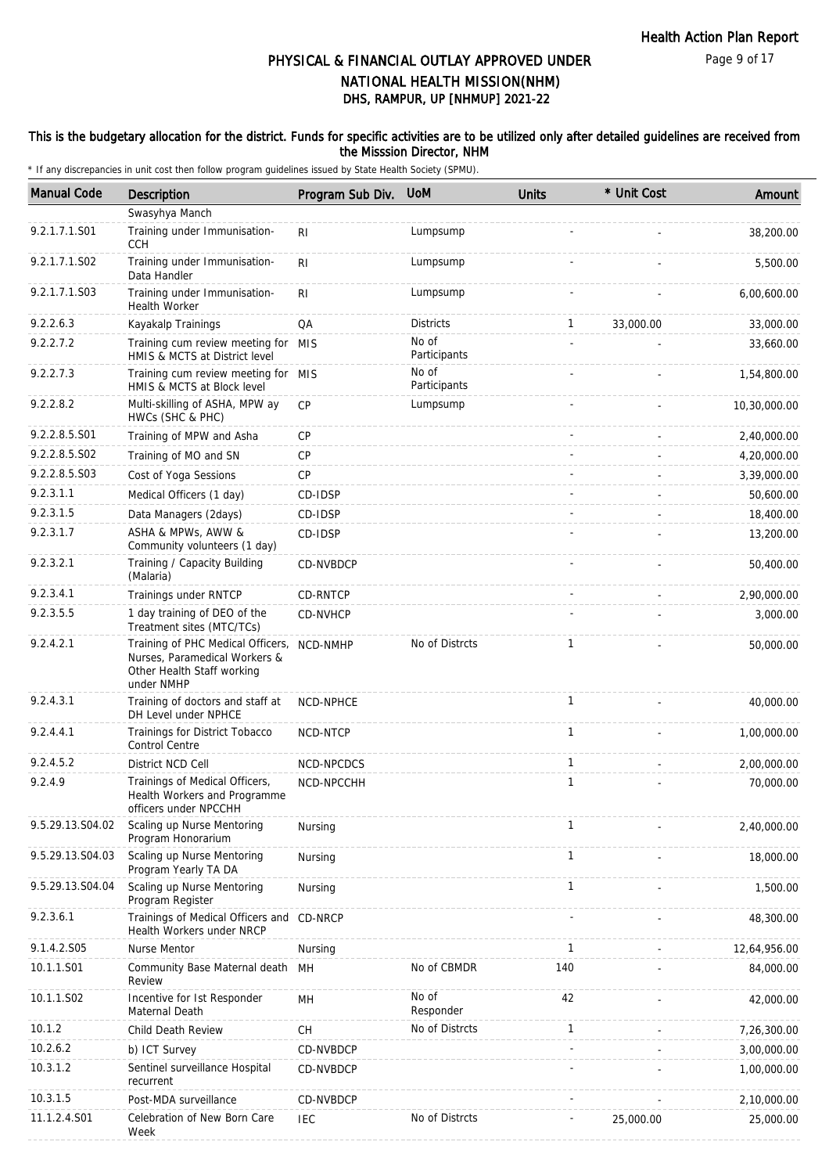#### This is the budgetary allocation for the district. Funds for specific activities are to be utilized only after detailed guidelines are received from the Misssion Director, NHM

| <b>Manual Code</b> | <b>Description</b>                                                                                                      | Program Sub Div. | <b>UoM</b>            | <b>Units</b> | * Unit Cost | Amount       |
|--------------------|-------------------------------------------------------------------------------------------------------------------------|------------------|-----------------------|--------------|-------------|--------------|
|                    | Swasyhya Manch                                                                                                          |                  |                       |              |             |              |
| 9.2.1.7.1.S01      | Training under Immunisation-<br><b>CCH</b>                                                                              | R <sub>1</sub>   | Lumpsump              |              |             | 38,200.00    |
| 9.2.1.7.1.S02      | Training under Immunisation-<br>Data Handler                                                                            | R <sub>l</sub>   | Lumpsump              |              |             | 5,500.00     |
| 9.2.1.7.1.S03      | Training under Immunisation-<br>Health Worker                                                                           | R <sub>l</sub>   | Lumpsump              |              |             | 6,00,600.00  |
| 9.2.2.6.3          | Kayakalp Trainings                                                                                                      | QA               | <b>Districts</b>      | 1            | 33,000.00   | 33,000.00    |
| 9.2.2.7.2          | Training cum review meeting for MIS<br>HMIS & MCTS at District level                                                    |                  | No of<br>Participants |              |             | 33,660.00    |
| 9.2.2.7.3          | Training cum review meeting for MIS<br>HMIS & MCTS at Block level                                                       |                  | No of<br>Participants |              |             | 1,54,800.00  |
| 9.2.2.8.2          | Multi-skilling of ASHA, MPW ay<br>HWCs (SHC & PHC)                                                                      | <b>CP</b>        | Lumpsump              |              |             | 10,30,000.00 |
| 9.2.2.8.5.S01      | Training of MPW and Asha                                                                                                | CP               |                       |              |             | 2,40,000.00  |
| 9.2.2.8.5.S02      | Training of MO and SN                                                                                                   | CP               |                       |              |             | 4,20,000.00  |
| 9.2.2.8.5.S03      | Cost of Yoga Sessions                                                                                                   | CP               |                       |              |             | 3,39,000.00  |
| 9.2.3.1.1          | Medical Officers (1 day)                                                                                                | CD-IDSP          |                       |              |             | 50,600.00    |
| 9.2.3.1.5          | Data Managers (2days)                                                                                                   | CD-IDSP          |                       |              |             | 18,400.00    |
| 9.2.3.1.7          | ASHA & MPWs, AWW &<br>Community volunteers (1 day)                                                                      | CD-IDSP          |                       |              |             | 13,200.00    |
| 9.2.3.2.1          | Training / Capacity Building<br>(Malaria)                                                                               | CD-NVBDCP        |                       |              |             | 50,400.00    |
| 9.2.3.4.1          | Trainings under RNTCP                                                                                                   | CD-RNTCP         |                       |              |             | 2,90,000.00  |
| 9.2.3.5.5          | 1 day training of DEO of the<br>Treatment sites (MTC/TCs)                                                               | CD-NVHCP         |                       |              |             | 3,000.00     |
| 9.2.4.2.1          | Training of PHC Medical Officers, NCD-NMHP<br>Nurses, Paramedical Workers &<br>Other Health Staff working<br>under NMHP |                  | No of Distrcts        | 1            |             | 50,000.00    |
| 9.2.4.3.1          | Training of doctors and staff at<br>DH Level under NPHCE                                                                | <b>NCD-NPHCE</b> |                       | 1            |             | 40,000.00    |
| 9.2.4.4.1          | Trainings for District Tobacco<br><b>Control Centre</b>                                                                 | NCD-NTCP         |                       | 1            |             | 1,00,000.00  |
| 9.2.4.5.2          | District NCD Cell                                                                                                       | NCD-NPCDCS       |                       | $\mathbf{1}$ |             | 2,00,000.00  |
| 9.2.4.9            | Trainings of Medical Officers,<br>Health Workers and Programme<br>officers under NPCCHH                                 | NCD-NPCCHH       |                       | 1            |             | 70,000.00    |
| 9.5.29.13.S04.02   | Scaling up Nurse Mentoring<br>Program Honorarium                                                                        | Nursing          |                       | 1            |             | 2,40,000.00  |
| 9.5.29.13.S04.03   | Scaling up Nurse Mentoring<br>Program Yearly TA DA                                                                      | Nursing          |                       | 1            |             | 18,000.00    |
| 9.5.29.13.S04.04   | Scaling up Nurse Mentoring<br>Program Register                                                                          | Nursing          |                       | 1            |             | 1,500.00     |
| 9.2.3.6.1          | Trainings of Medical Officers and CD-NRCP<br>Health Workers under NRCP                                                  |                  |                       |              |             | 48,300.00    |
| 9.1.4.2.S05        | Nurse Mentor                                                                                                            | Nursing          |                       | 1            |             | 12,64,956.00 |
| 10.1.1.S01         | Community Base Maternal death MH<br>Review                                                                              |                  | No of CBMDR           | 140          |             | 84,000.00    |
| 10.1.1.S02         | Incentive for Ist Responder<br>Maternal Death                                                                           | MH               | No of<br>Responder    | 42           |             | 42,000.00    |
| 10.1.2             | Child Death Review                                                                                                      | CH               | No of Distrcts        | 1            |             | 7,26,300.00  |
| 10.2.6.2           | b) ICT Survey                                                                                                           | CD-NVBDCP        |                       |              |             | 3,00,000.00  |
| 10.3.1.2           | Sentinel surveillance Hospital<br>recurrent                                                                             | CD-NVBDCP        |                       |              |             | 1,00,000.00  |
| 10.3.1.5           | Post-MDA surveillance                                                                                                   | CD-NVBDCP        |                       |              |             | 2,10,000.00  |
| 11.1.2.4.S01       | Celebration of New Born Care<br>Week                                                                                    | <b>IEC</b>       | No of Distrcts        |              | 25,000.00   | 25,000.00    |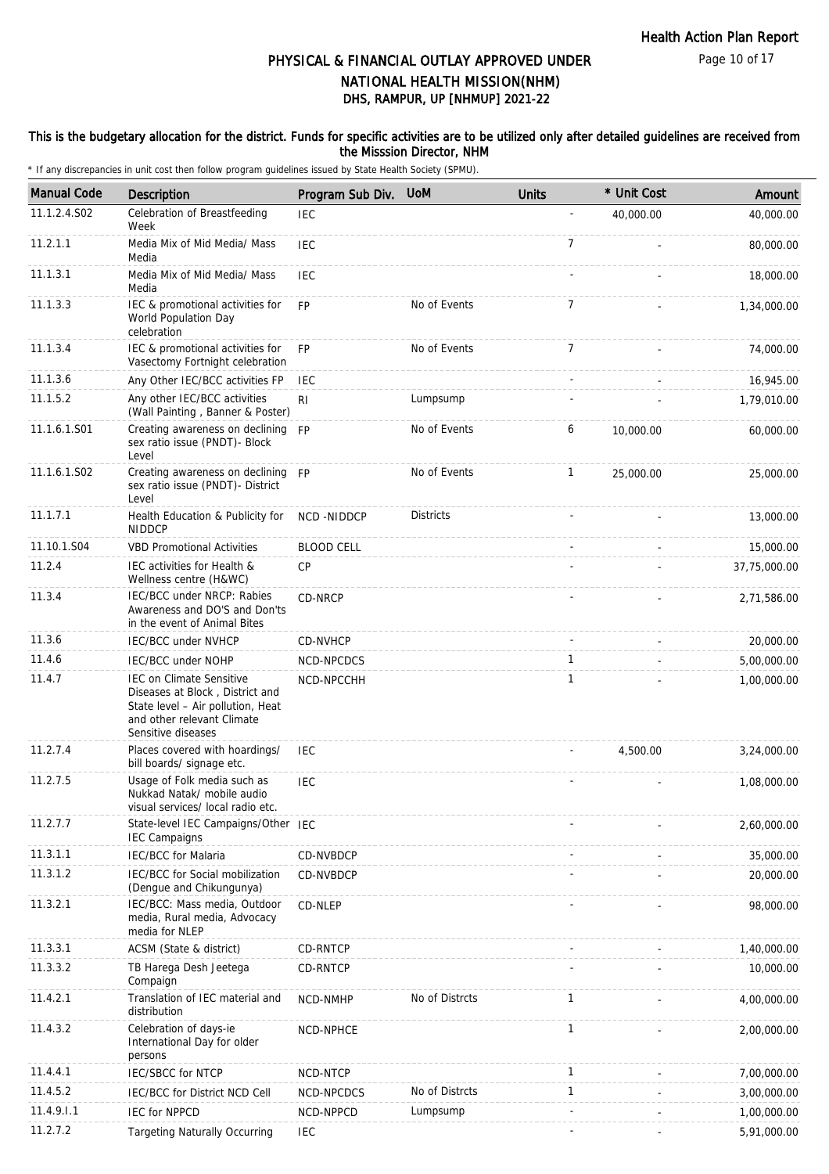#### This is the budgetary allocation for the district. Funds for specific activities are to be utilized only after detailed guidelines are received from the Misssion Director, NHM

| <b>Manual Code</b> | Description                                                                                                                                                 | Program Sub Div.  | <b>UoM</b>       | <b>Units</b>   | * Unit Cost | Amount       |
|--------------------|-------------------------------------------------------------------------------------------------------------------------------------------------------------|-------------------|------------------|----------------|-------------|--------------|
| 11.1.2.4.S02       | Celebration of Breastfeeding<br>Week                                                                                                                        | <b>IEC</b>        |                  |                | 40,000.00   | 40,000.00    |
| 11.2.1.1           | Media Mix of Mid Media/ Mass<br>Media                                                                                                                       | <b>IEC</b>        |                  | 7              |             | 80,000.00    |
| 11.1.3.1           | Media Mix of Mid Media/ Mass<br>Media                                                                                                                       | IEC               |                  |                |             | 18,000.00    |
| 11.1.3.3           | IEC & promotional activities for<br>World Population Day<br>celebration                                                                                     | <b>FP</b>         | No of Events     | $\overline{7}$ |             | 1,34,000.00  |
| 11.1.3.4           | IEC & promotional activities for<br>Vasectomy Fortnight celebration                                                                                         | FP                | No of Events     | 7              |             | 74,000.00    |
| 11.1.3.6           | Any Other IEC/BCC activities FP                                                                                                                             | <b>IEC</b>        |                  |                |             | 16,945.00    |
| 11.1.5.2           | Any other IEC/BCC activities<br>(Wall Painting, Banner & Poster)                                                                                            | RI                | Lumpsump         |                |             | 1,79,010.00  |
| 11.1.6.1.S01       | Creating awareness on declining FP<br>sex ratio issue (PNDT)- Block<br>Level                                                                                |                   | No of Events     | 6              | 10,000.00   | 60,000.00    |
| 11.1.6.1.S02       | Creating awareness on declining FP<br>sex ratio issue (PNDT)- District<br>Level                                                                             |                   | No of Events     | 1              | 25,000.00   | 25,000.00    |
| 11.1.7.1           | Health Education & Publicity for<br><b>NIDDCP</b>                                                                                                           | NCD-NIDDCP        | <b>Districts</b> |                |             | 13,000.00    |
| 11.10.1.S04        | <b>VBD Promotional Activities</b>                                                                                                                           | <b>BLOOD CELL</b> |                  |                |             | 15,000.00    |
| 11.2.4             | IEC activities for Health &<br>Wellness centre (H&WC)                                                                                                       | <b>CP</b>         |                  |                |             | 37,75,000.00 |
| 11.3.4             | IEC/BCC under NRCP: Rabies<br>Awareness and DO'S and Don'ts<br>in the event of Animal Bites                                                                 | CD-NRCP           |                  |                |             | 2,71,586.00  |
| 11.3.6             | IEC/BCC under NVHCP                                                                                                                                         | <b>CD-NVHCP</b>   |                  |                |             | 20,000.00    |
| 11.4.6             | IEC/BCC under NOHP                                                                                                                                          | NCD-NPCDCS        |                  | 1              |             | 5,00,000.00  |
| 11.4.7             | <b>IEC on Climate Sensitive</b><br>Diseases at Block, District and<br>State level - Air pollution, Heat<br>and other relevant Climate<br>Sensitive diseases | NCD-NPCCHH        |                  | 1              |             | 1,00,000.00  |
| 11.2.7.4           | Places covered with hoardings/<br>bill boards/ signage etc.                                                                                                 | IEC               |                  |                | 4,500.00    | 3,24,000.00  |
| 11.2.7.5           | Usage of Folk media such as<br>Nukkad Natak/ mobile audio<br>visual services/ local radio etc.                                                              | <b>IEC</b>        |                  |                |             | 1,08,000.00  |
| 11.2.7.7           | State-level IEC Campaigns/Other IEC<br><b>IEC Campaigns</b>                                                                                                 |                   |                  |                |             | 2,60,000.00  |
| 11.3.1.1           | <b>IEC/BCC</b> for Malaria                                                                                                                                  | CD-NVBDCP         |                  |                |             | 35,000.00    |
| 11.3.1.2           | IEC/BCC for Social mobilization<br>(Dengue and Chikungunya)                                                                                                 | CD-NVBDCP         |                  |                |             | 20,000.00    |
| 11.3.2.1           | IEC/BCC: Mass media, Outdoor<br>media, Rural media, Advocacy<br>media for NLEP                                                                              | CD-NLEP           |                  |                |             | 98,000.00    |
| 11.3.3.1           | ACSM (State & district)                                                                                                                                     | CD-RNTCP          |                  |                |             | 1,40,000.00  |
| 11.3.3.2           | TB Harega Desh Jeetega<br>Compaign                                                                                                                          | CD-RNTCP          |                  |                |             | 10,000.00    |
| 11.4.2.1           | Translation of IEC material and<br>distribution                                                                                                             | NCD-NMHP          | No of Distrcts   | 1              |             | 4,00,000.00  |
| 11.4.3.2           | Celebration of days-ie<br>International Day for older<br>persons                                                                                            | NCD-NPHCE         |                  | 1              |             | 2,00,000.00  |
| 11.4.4.1           | IEC/SBCC for NTCP                                                                                                                                           | NCD-NTCP          |                  | 1              |             | 7,00,000.00  |
| 11.4.5.2           | IEC/BCC for District NCD Cell                                                                                                                               | NCD-NPCDCS        | No of Distrcts   | 1              |             | 3,00,000.00  |
| 11.4.9.1.1         | <b>IEC for NPPCD</b>                                                                                                                                        | NCD-NPPCD         | Lumpsump         |                |             | 1,00,000.00  |
| 11.2.7.2           | <b>Targeting Naturally Occurring</b>                                                                                                                        | <b>IEC</b>        |                  |                |             | 5,91,000.00  |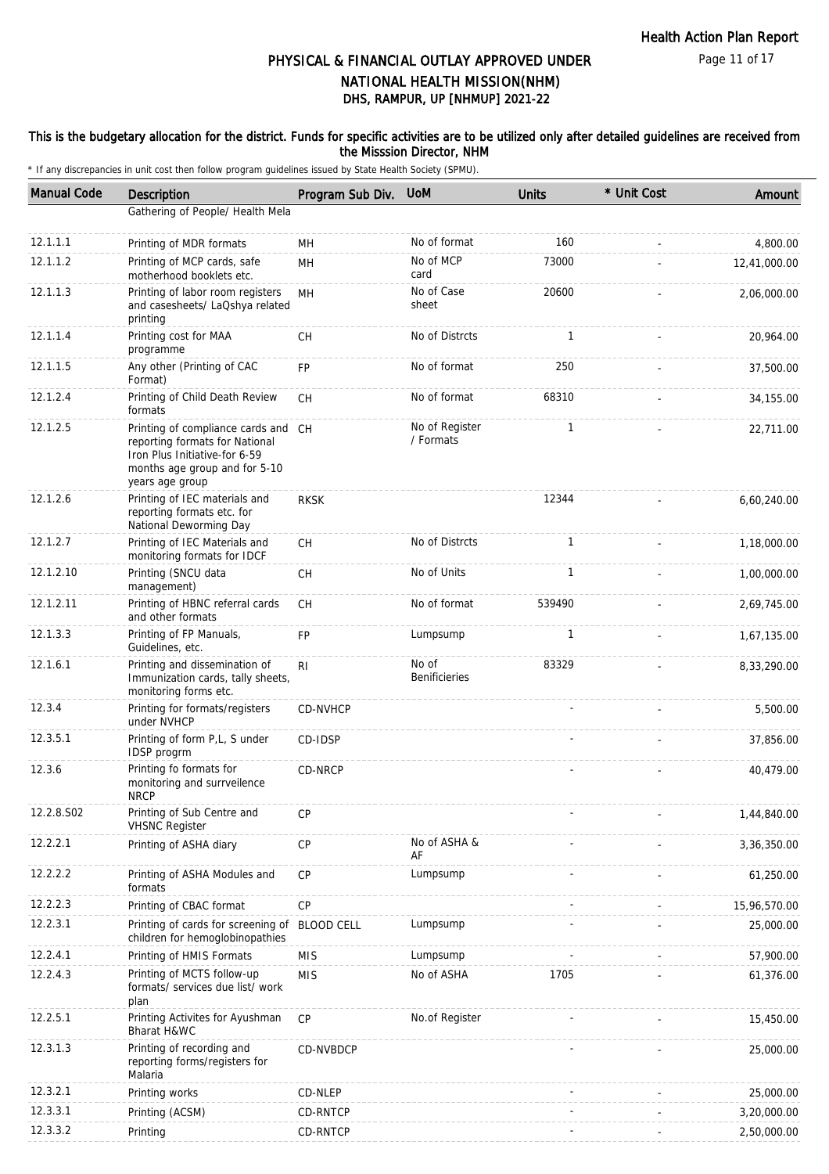#### This is the budgetary allocation for the district. Funds for specific activities are to be utilized only after detailed guidelines are received from the Misssion Director, NHM

| <b>Manual Code</b> | <b>Description</b>                                                                                                                                         | Program Sub Div. | <b>UoM</b>                    | Units        | * Unit Cost | Amount       |
|--------------------|------------------------------------------------------------------------------------------------------------------------------------------------------------|------------------|-------------------------------|--------------|-------------|--------------|
|                    | Gathering of People/ Health Mela                                                                                                                           |                  |                               |              |             |              |
| 12.1.1.1           | Printing of MDR formats                                                                                                                                    | <b>MH</b>        | No of format                  | 160          |             | 4,800.00     |
| 12.1.1.2           | Printing of MCP cards, safe<br>motherhood booklets etc.                                                                                                    | MH               | No of MCP<br>card             | 73000        |             | 12,41,000.00 |
| 12.1.1.3           | Printing of labor room registers<br>and casesheets/ LaQshya related<br>printing                                                                            | <b>MH</b>        | No of Case<br>sheet           | 20600        |             | 2,06,000.00  |
| 12.1.1.4           | Printing cost for MAA<br>programme                                                                                                                         | <b>CH</b>        | No of Distrcts                | $\mathbf{1}$ |             | 20,964.00    |
| 12.1.1.5           | Any other (Printing of CAC<br>Format)                                                                                                                      | FP               | No of format                  | 250          |             | 37,500.00    |
| 12.1.2.4           | Printing of Child Death Review<br>formats                                                                                                                  | <b>CH</b>        | No of format                  | 68310        |             | 34,155.00    |
| 12.1.2.5           | Printing of compliance cards and CH<br>reporting formats for National<br>Iron Plus Initiative-for 6-59<br>months age group and for 5-10<br>years age group |                  | No of Register<br>/ Formats   | $\mathbf{1}$ |             | 22,711.00    |
| 12.1.2.6           | Printing of IEC materials and<br>reporting formats etc. for<br>National Deworming Day                                                                      | <b>RKSK</b>      |                               | 12344        |             | 6,60,240.00  |
| 12.1.2.7           | Printing of IEC Materials and<br>monitoring formats for IDCF                                                                                               | <b>CH</b>        | No of Distrcts                | $\mathbf{1}$ |             | 1,18,000.00  |
| 12.1.2.10          | Printing (SNCU data<br>management)                                                                                                                         | <b>CH</b>        | No of Units                   | 1            |             | 1,00,000.00  |
| 12.1.2.11          | Printing of HBNC referral cards<br>and other formats                                                                                                       | <b>CH</b>        | No of format                  | 539490       |             | 2,69,745.00  |
| 12.1.3.3           | Printing of FP Manuals,<br>Guidelines, etc.                                                                                                                | <b>FP</b>        | Lumpsump                      | $\mathbf{1}$ |             | 1,67,135.00  |
| 12.1.6.1           | Printing and dissemination of<br>Immunization cards, tally sheets,<br>monitoring forms etc.                                                                | R <sub>l</sub>   | No of<br><b>Benificieries</b> | 83329        |             | 8,33,290.00  |
| 12.3.4             | Printing for formats/registers<br>under NVHCP                                                                                                              | CD-NVHCP         |                               |              |             | 5,500.00     |
| 12.3.5.1           | Printing of form P,L, S under<br>IDSP progrm                                                                                                               | CD-IDSP          |                               |              |             | 37,856.00    |
| 12.3.6             | Printing fo formats for<br>monitoring and surrveilence<br><b>NRCP</b>                                                                                      | CD-NRCP          |                               |              |             | 40,479.00    |
| 12.2.8.S02         | Printing of Sub Centre and<br><b>VHSNC Register</b>                                                                                                        | <b>CP</b>        |                               |              |             | 1,44,840.00  |
| 12.2.2.1           | Printing of ASHA diary                                                                                                                                     | CP               | No of ASHA &<br>AF            |              |             | 3,36,350.00  |
| 12.2.2.2           | Printing of ASHA Modules and<br>formats                                                                                                                    | CP               | Lumpsump                      |              |             | 61,250.00    |
| 12.2.2.3           | Printing of CBAC format                                                                                                                                    | CP               |                               |              |             | 15,96,570.00 |
| 12.2.3.1           | Printing of cards for screening of BLOOD CELL<br>children for hemoglobinopathies                                                                           |                  | Lumpsump                      |              |             | 25,000.00    |
| 12.2.4.1           | Printing of HMIS Formats                                                                                                                                   | <b>MIS</b>       | Lumpsump                      |              |             | 57,900.00    |
| 12.2.4.3           | Printing of MCTS follow-up<br>formats/ services due list/ work<br>plan                                                                                     | <b>MIS</b>       | No of ASHA                    | 1705         |             | 61,376.00    |
| 12.2.5.1           | Printing Activites for Ayushman<br>Bharat H&WC                                                                                                             | <b>CP</b>        | No.of Register                |              |             | 15,450.00    |
| 12.3.1.3           | Printing of recording and<br>reporting forms/registers for<br>Malaria                                                                                      | CD-NVBDCP        |                               |              |             | 25,000.00    |
| 12.3.2.1           | Printing works                                                                                                                                             | CD-NLEP          |                               |              |             | 25,000.00    |
| 12.3.3.1           | Printing (ACSM)                                                                                                                                            | CD-RNTCP         |                               |              |             | 3,20,000.00  |
| 12.3.3.2           | Printing                                                                                                                                                   | CD-RNTCP         |                               |              |             | 2,50,000.00  |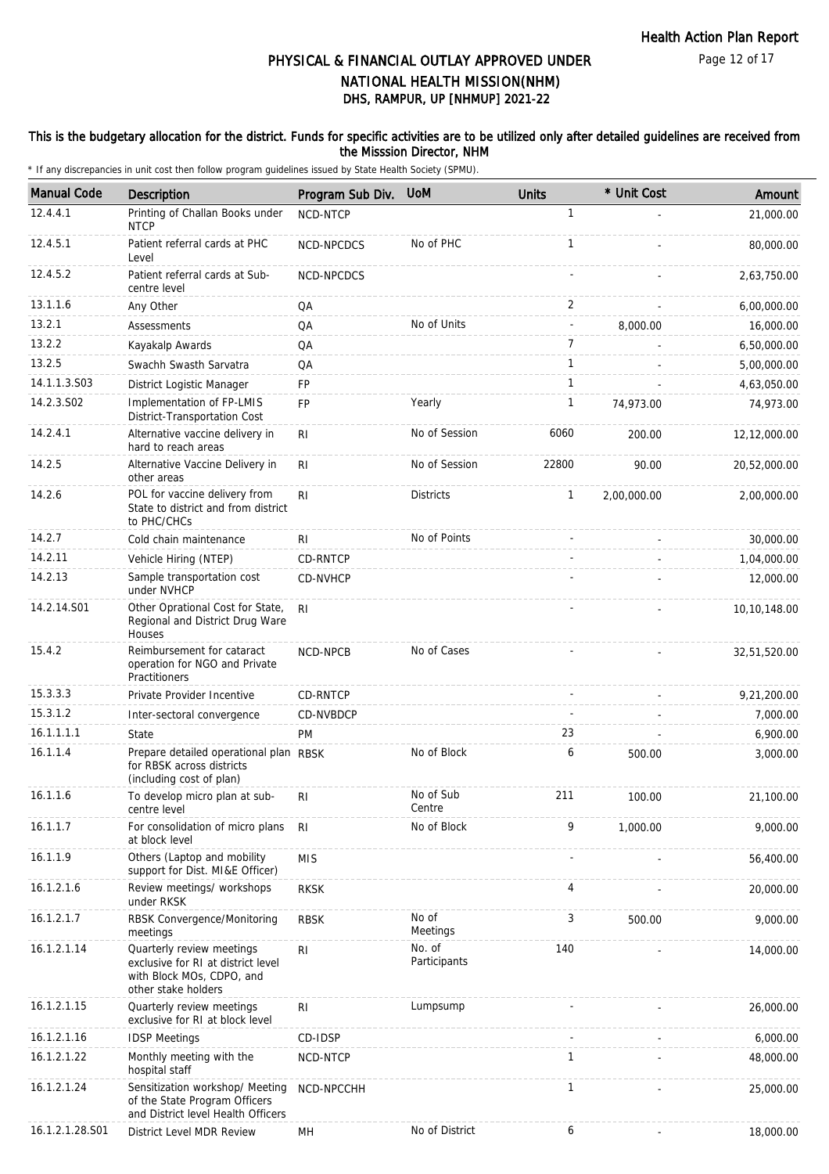#### This is the budgetary allocation for the district. Funds for specific activities are to be utilized only after detailed guidelines are received from the Misssion Director, NHM

| <b>Manual Code</b> | Description                                                                                                         | Program Sub Div. | <b>UoM</b>             | <b>Units</b>             | * Unit Cost | Amount       |
|--------------------|---------------------------------------------------------------------------------------------------------------------|------------------|------------------------|--------------------------|-------------|--------------|
| 12.4.4.1           | Printing of Challan Books under<br><b>NTCP</b>                                                                      | NCD-NTCP         |                        | $\mathbf{1}$             |             | 21,000.00    |
| 12.4.5.1           | Patient referral cards at PHC<br>Level                                                                              | NCD-NPCDCS       | No of PHC              | 1                        |             | 80,000.00    |
| 12.4.5.2           | Patient referral cards at Sub-<br>centre level                                                                      | NCD-NPCDCS       |                        |                          |             | 2,63,750.00  |
| 13.1.1.6           | Any Other                                                                                                           | QA               |                        | 2                        |             | 6,00,000.00  |
| 13.2.1             | Assessments                                                                                                         | QA               | No of Units            | $\overline{\phantom{a}}$ | 8,000.00    | 16,000.00    |
| 13.2.2             | Kayakalp Awards                                                                                                     | QA               |                        | $\overline{7}$           |             | 6,50,000.00  |
| 13.2.5             | Swachh Swasth Sarvatra                                                                                              | QA               |                        | 1                        |             | 5,00,000.00  |
| 14.1.1.3.S03       | District Logistic Manager                                                                                           | FP               |                        | 1                        |             | 4,63,050.00  |
| 14.2.3.S02         | Implementation of FP-LMIS<br>District-Transportation Cost                                                           | FP               | Yearly                 | $\mathbf{1}$             | 74,973.00   | 74,973.00    |
| 14.2.4.1           | Alternative vaccine delivery in<br>hard to reach areas                                                              | R <sub>l</sub>   | No of Session          | 6060                     | 200.00      | 12,12,000.00 |
| 14.2.5             | Alternative Vaccine Delivery in<br>other areas                                                                      | RI.              | No of Session          | 22800                    | 90.00       | 20,52,000.00 |
| 14.2.6             | POL for vaccine delivery from<br>State to district and from district<br>to PHC/CHCs                                 | R <sub>l</sub>   | <b>Districts</b>       | 1                        | 2,00,000.00 | 2,00,000.00  |
| 14.2.7             | Cold chain maintenance                                                                                              | RI               | No of Points           |                          |             | 30,000.00    |
| 14.2.11            | Vehicle Hiring (NTEP)                                                                                               | CD-RNTCP         |                        |                          |             | 1,04,000.00  |
| 14.2.13            | Sample transportation cost<br>under NVHCP                                                                           | CD-NVHCP         |                        |                          |             | 12,000.00    |
| 14.2.14.S01        | Other Oprational Cost for State,<br>Regional and District Drug Ware<br>Houses                                       | RI               |                        |                          |             | 10,10,148.00 |
| 15.4.2             | Reimbursement for cataract<br>operation for NGO and Private<br>Practitioners                                        | NCD-NPCB         | No of Cases            |                          |             | 32,51,520.00 |
| 15.3.3.3           | Private Provider Incentive                                                                                          | CD-RNTCP         |                        |                          |             | 9,21,200.00  |
| 15.3.1.2           | Inter-sectoral convergence                                                                                          | CD-NVBDCP        |                        |                          |             | 7,000.00     |
| 16.1.1.1.1         | State                                                                                                               | PM               |                        | 23                       |             | 6,900.00     |
| 16.1.1.4           | Prepare detailed operational plan RBSK<br>for RBSK across districts<br>(including cost of plan)                     |                  | No of Block            | 6                        | 500.00      | 3,000.00     |
| 16.1.1.6           | To develop micro plan at sub-<br>centre level                                                                       | RI               | No of Sub<br>Centre    | 211                      | 100.00      | 21,100.00    |
| 16.1.1.7           | For consolidation of micro plans<br>at block level                                                                  | <b>RI</b>        | No of Block            | 9                        | 1,000.00    | 9,000.00     |
| 16.1.1.9           | Others (Laptop and mobility<br>support for Dist. MI&E Officer)                                                      | <b>MIS</b>       |                        |                          |             | 56,400.00    |
| 16.1.2.1.6         | Review meetings/ workshops<br>under RKSK                                                                            | <b>RKSK</b>      |                        | 4                        |             | 20,000.00    |
| 16.1.2.1.7         | RBSK Convergence/Monitoring<br>meetings                                                                             | <b>RBSK</b>      | No of<br>Meetings      | 3                        | 500.00      | 9,000.00     |
| 16.1.2.1.14        | Quarterly review meetings<br>exclusive for RI at district level<br>with Block MOs, CDPO, and<br>other stake holders | RI               | No. of<br>Participants | 140                      |             | 14,000.00    |
| 16.1.2.1.15        | Quarterly review meetings<br>exclusive for RI at block level                                                        | R <sub>l</sub>   | Lumpsump               |                          |             | 26,000.00    |
| 16.1.2.1.16        | <b>IDSP Meetings</b>                                                                                                | CD-IDSP          |                        |                          |             | 6,000.00     |
| 16.1.2.1.22        | Monthly meeting with the<br>hospital staff                                                                          | NCD-NTCP         |                        | 1                        |             | 48,000.00    |
| 16.1.2.1.24        | Sensitization workshop/ Meeting<br>of the State Program Officers<br>and District level Health Officers              | NCD-NPCCHH       |                        | 1                        |             | 25,000.00    |
| 16.1.2.1.28.S01    | District Level MDR Review                                                                                           | MН               | No of District         | 6                        |             | 18,000.00    |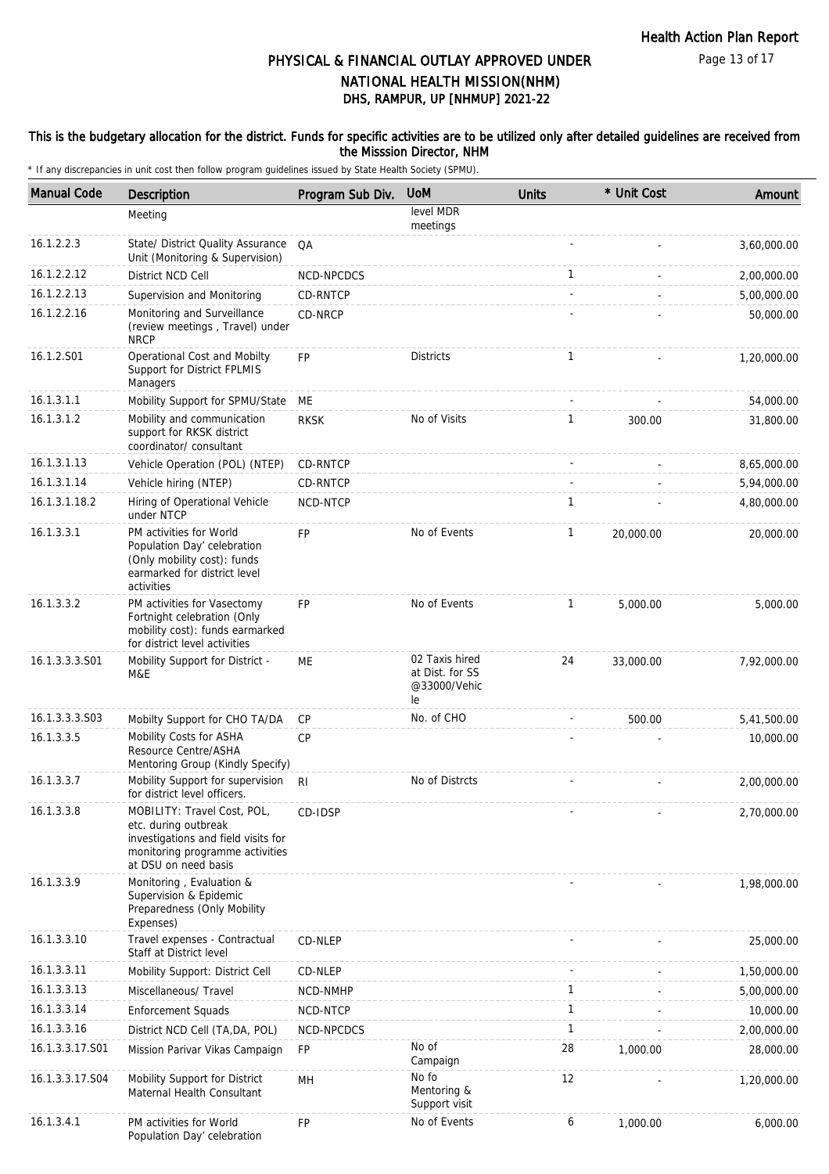#### This is the budgetary allocation for the district. Funds for specific activities are to be utilized only after detailed guidelines are received from the Misssion Director, NHM

| <b>Manual Code</b> | Description                                                                                                                                           | Program Sub Div. | <b>UoM</b>                                              | <b>Units</b>   | * Unit Cost | Amount      |
|--------------------|-------------------------------------------------------------------------------------------------------------------------------------------------------|------------------|---------------------------------------------------------|----------------|-------------|-------------|
|                    | Meeting                                                                                                                                               |                  | level MDR<br>meetings                                   |                |             |             |
| 16.1.2.2.3         | State/ District Quality Assurance<br>Unit (Monitoring & Supervision)                                                                                  | QA               |                                                         |                |             | 3,60,000.00 |
| 16.1.2.2.12        | District NCD Cell                                                                                                                                     | NCD-NPCDCS       |                                                         | 1              |             | 2,00,000.00 |
| 16.1.2.2.13        | Supervision and Monitoring                                                                                                                            | CD-RNTCP         |                                                         | $\overline{a}$ |             | 5,00,000.00 |
| 16.1.2.2.16        | Monitoring and Surveillance<br>(review meetings, Travel) under<br><b>NRCP</b>                                                                         | CD-NRCP          |                                                         |                |             | 50,000.00   |
| 16.1.2.S01         | Operational Cost and Mobilty<br>Support for District FPLMIS<br>Managers                                                                               | <b>FP</b>        | <b>Districts</b>                                        | $\mathbf{1}$   |             | 1,20,000.00 |
| 16.1.3.1.1         | Mobility Support for SPMU/State                                                                                                                       | ME               |                                                         |                |             | 54,000.00   |
| 16.1.3.1.2         | Mobility and communication<br>support for RKSK district<br>coordinator/consultant                                                                     | <b>RKSK</b>      | No of Visits                                            | 1              | 300.00      | 31,800.00   |
| 16.1.3.1.13        | Vehicle Operation (POL) (NTEP)                                                                                                                        | CD-RNTCP         |                                                         |                |             | 8,65,000.00 |
| 16.1.3.1.14        | Vehicle hiring (NTEP)                                                                                                                                 | CD-RNTCP         |                                                         |                |             | 5,94,000.00 |
| 16.1.3.1.18.2      | Hiring of Operational Vehicle<br>under NTCP                                                                                                           | NCD-NTCP         |                                                         | 1              |             | 4,80,000.00 |
| 16.1.3.3.1         | PM activities for World<br>Population Day' celebration<br>(Only mobility cost): funds<br>earmarked for district level<br>activities                   | <b>FP</b>        | No of Events                                            | $\mathbf{1}$   | 20,000.00   | 20,000.00   |
| 16.1.3.3.2         | PM activities for Vasectomy<br>Fortnight celebration (Only<br>mobility cost): funds earmarked<br>for district level activities                        | <b>FP</b>        | No of Events                                            | $\mathbf{1}$   | 5,000.00    | 5,000.00    |
| 16.1.3.3.3.S01     | Mobility Support for District -<br>M&E                                                                                                                | МE               | 02 Taxis hired<br>at Dist. for SS<br>@33000/Vehic<br>le | 24             | 33,000.00   | 7,92,000.00 |
| 16.1.3.3.3.S03     | Mobilty Support for CHO TA/DA                                                                                                                         | <b>CP</b>        | No. of CHO                                              |                | 500.00      | 5,41,500.00 |
| 16.1.3.3.5         | Mobility Costs for ASHA<br>Resource Centre/ASHA<br>Mentoring Group (Kindly Specify)                                                                   | <b>CP</b>        |                                                         |                |             | 10,000.00   |
| 16.1.3.3.7         | Mobility Support for supervision<br>for district level officers.                                                                                      | R <sub>l</sub>   | No of Distrcts                                          |                |             | 2,00,000.00 |
| 16.1.3.3.8         | MOBILITY: Travel Cost, POL,<br>etc. during outbreak<br>investigations and field visits for<br>monitoring programme activities<br>at DSU on need basis | CD-IDSP          |                                                         |                |             | 2,70,000.00 |
| 16.1.3.3.9         | Monitoring, Evaluation &<br>Supervision & Epidemic<br>Preparedness (Only Mobility<br>Expenses)                                                        |                  |                                                         |                |             | 1,98,000.00 |
| 16.1.3.3.10        | Travel expenses - Contractual<br>Staff at District level                                                                                              | CD-NLEP          |                                                         |                |             | 25,000.00   |
| 16.1.3.3.11        | Mobility Support: District Cell                                                                                                                       | CD-NLEP          |                                                         |                |             | 1,50,000.00 |
| 16.1.3.3.13        | Miscellaneous/ Travel                                                                                                                                 | NCD-NMHP         |                                                         | $\mathbf{1}$   |             | 5,00,000.00 |
| 16.1.3.3.14        | <b>Enforcement Squads</b>                                                                                                                             | NCD-NTCP         |                                                         | $\mathbf{1}$   |             | 10,000.00   |
| 16.1.3.3.16        | District NCD Cell (TA, DA, POL)                                                                                                                       | NCD-NPCDCS       |                                                         | $\mathbf{1}$   |             | 2,00,000.00 |
| 16.1.3.3.17.S01    | Mission Parivar Vikas Campaign                                                                                                                        | FP               | No of<br>Campaign                                       | 28             | 1,000.00    | 28,000.00   |
| 16.1.3.3.17.S04    | Mobility Support for District<br>Maternal Health Consultant                                                                                           | MН               | No fo<br>Mentoring &<br>Support visit                   | 12             |             | 1,20,000.00 |
| 16.1.3.4.1         | PM activities for World<br>Population Day' celebration                                                                                                | FP               | No of Events                                            | 6              | 1,000.00    | 6,000.00    |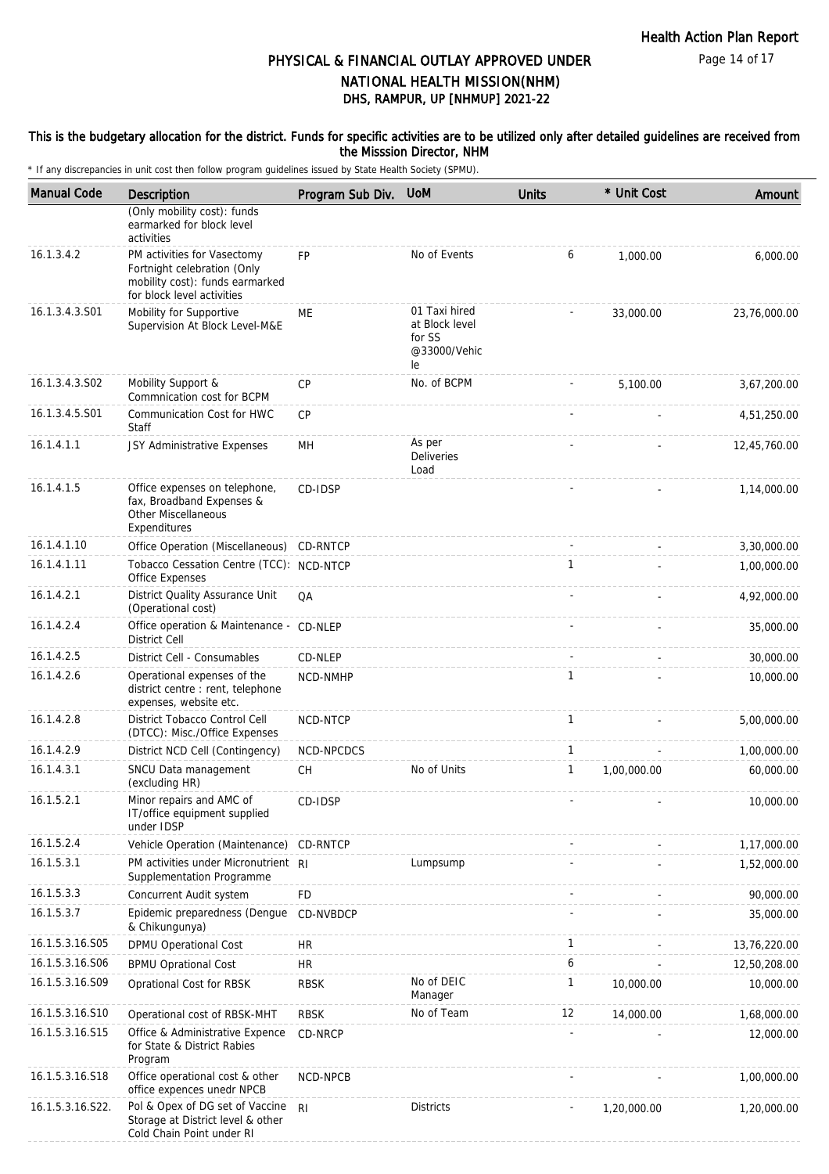This is the budgetary allocation for the district. Funds for specific activities are to be utilized only after detailed guidelines are received from the Misssion Director, NHM

| <b>Manual Code</b> | <b>Description</b>                                                                                                          | Program Sub Div. | <b>UoM</b>                                                      | <b>Units</b> | * Unit Cost | Amount       |
|--------------------|-----------------------------------------------------------------------------------------------------------------------------|------------------|-----------------------------------------------------------------|--------------|-------------|--------------|
|                    | (Only mobility cost): funds<br>earmarked for block level<br>activities                                                      |                  |                                                                 |              |             |              |
| 16.1.3.4.2         | PM activities for Vasectomy<br>Fortnight celebration (Only<br>mobility cost): funds earmarked<br>for block level activities | FP               | No of Events                                                    | 6            | 1,000.00    | 6,000.00     |
| 16.1.3.4.3.S01     | Mobility for Supportive<br>Supervision At Block Level-M&E                                                                   | ME               | 01 Taxi hired<br>at Block level<br>for SS<br>@33000/Vehic<br>le |              | 33,000.00   | 23,76,000.00 |
| 16.1.3.4.3.S02     | Mobility Support &<br>Commnication cost for BCPM                                                                            | <b>CP</b>        | No. of BCPM                                                     |              | 5,100.00    | 3,67,200.00  |
| 16.1.3.4.5.S01     | Communication Cost for HWC<br>Staff                                                                                         | CP               |                                                                 |              |             | 4,51,250.00  |
| 16.1.4.1.1         | JSY Administrative Expenses                                                                                                 | MH               | As per<br>Deliveries<br>Load                                    |              |             | 12,45,760.00 |
| 16.1.4.1.5         | Office expenses on telephone,<br>fax, Broadband Expenses &<br>Other Miscellaneous<br>Expenditures                           | CD-IDSP          |                                                                 |              |             | 1,14,000.00  |
| 16.1.4.1.10        | Office Operation (Miscellaneous) CD-RNTCP                                                                                   |                  |                                                                 |              |             | 3,30,000.00  |
| 16.1.4.1.11        | Tobacco Cessation Centre (TCC): NCD-NTCP<br>Office Expenses                                                                 |                  |                                                                 | $\mathbf{1}$ |             | 1,00,000.00  |
| 16.1.4.2.1         | District Quality Assurance Unit<br>(Operational cost)                                                                       | QA               |                                                                 |              |             | 4,92,000.00  |
| 16.1.4.2.4         | Office operation & Maintenance - CD-NLEP<br>District Cell                                                                   |                  |                                                                 |              |             | 35,000.00    |
| 16.1.4.2.5         | District Cell - Consumables                                                                                                 | CD-NLEP          |                                                                 |              |             | 30,000.00    |
| 16.1.4.2.6         | Operational expenses of the<br>district centre : rent, telephone<br>expenses, website etc.                                  | NCD-NMHP         |                                                                 | 1            |             | 10,000.00    |
| 16.1.4.2.8         | District Tobacco Control Cell<br>(DTCC): Misc./Office Expenses                                                              | NCD-NTCP         |                                                                 | $\mathbf{1}$ |             | 5,00,000.00  |
| 16.1.4.2.9         | District NCD Cell (Contingency)                                                                                             | NCD-NPCDCS       |                                                                 | $\mathbf{1}$ |             | 1,00,000.00  |
| 16.1.4.3.1         | SNCU Data management<br>(excluding HR)                                                                                      | <b>CH</b>        | No of Units                                                     | $\mathbf{1}$ | 1,00,000.00 | 60,000.00    |
| 16.1.5.2.1         | Minor repairs and AMC of<br>IT/office equipment supplied<br>under IDSP                                                      | CD-IDSP          |                                                                 |              |             | 10,000.00    |
| 16.1.5.2.4         | Vehicle Operation (Maintenance)                                                                                             | CD-RNTCP         |                                                                 |              |             | 1,17,000.00  |
| 16.1.5.3.1         | PM activities under Micronutrient RI<br>Supplementation Programme                                                           |                  | Lumpsump                                                        |              |             | 1,52,000.00  |
| 16.1.5.3.3         | Concurrent Audit system                                                                                                     | FD               |                                                                 |              |             | 90,000.00    |
| 16.1.5.3.7         | Epidemic preparedness (Dengue<br>& Chikungunya)                                                                             | CD-NVBDCP        |                                                                 |              |             | 35,000.00    |
| 16.1.5.3.16.S05    | <b>DPMU Operational Cost</b>                                                                                                | HR               |                                                                 | 1            |             | 13,76,220.00 |
| 16.1.5.3.16.S06    | <b>BPMU Oprational Cost</b>                                                                                                 | <b>HR</b>        |                                                                 | 6            |             | 12,50,208.00 |
| 16.1.5.3.16.S09    | Oprational Cost for RBSK                                                                                                    | <b>RBSK</b>      | No of DEIC<br>Manager                                           | $\mathbf{1}$ | 10,000.00   | 10,000.00    |
| 16.1.5.3.16.S10    | Operational cost of RBSK-MHT                                                                                                | <b>RBSK</b>      | No of Team                                                      | 12           | 14,000.00   | 1,68,000.00  |
| 16.1.5.3.16.S15    | Office & Administrative Expence<br>for State & District Rabies<br>Program                                                   | CD-NRCP          |                                                                 |              |             | 12,000.00    |
| 16.1.5.3.16.S18    | Office operational cost & other<br>office expences unedr NPCB                                                               | NCD-NPCB         |                                                                 |              |             | 1,00,000.00  |
| 16.1.5.3.16.S22.   | Pol & Opex of DG set of Vaccine<br>Storage at District level & other<br>Cold Chain Point under RI                           | R <sub>l</sub>   | <b>Districts</b>                                                |              | 1,20,000.00 | 1,20,000.00  |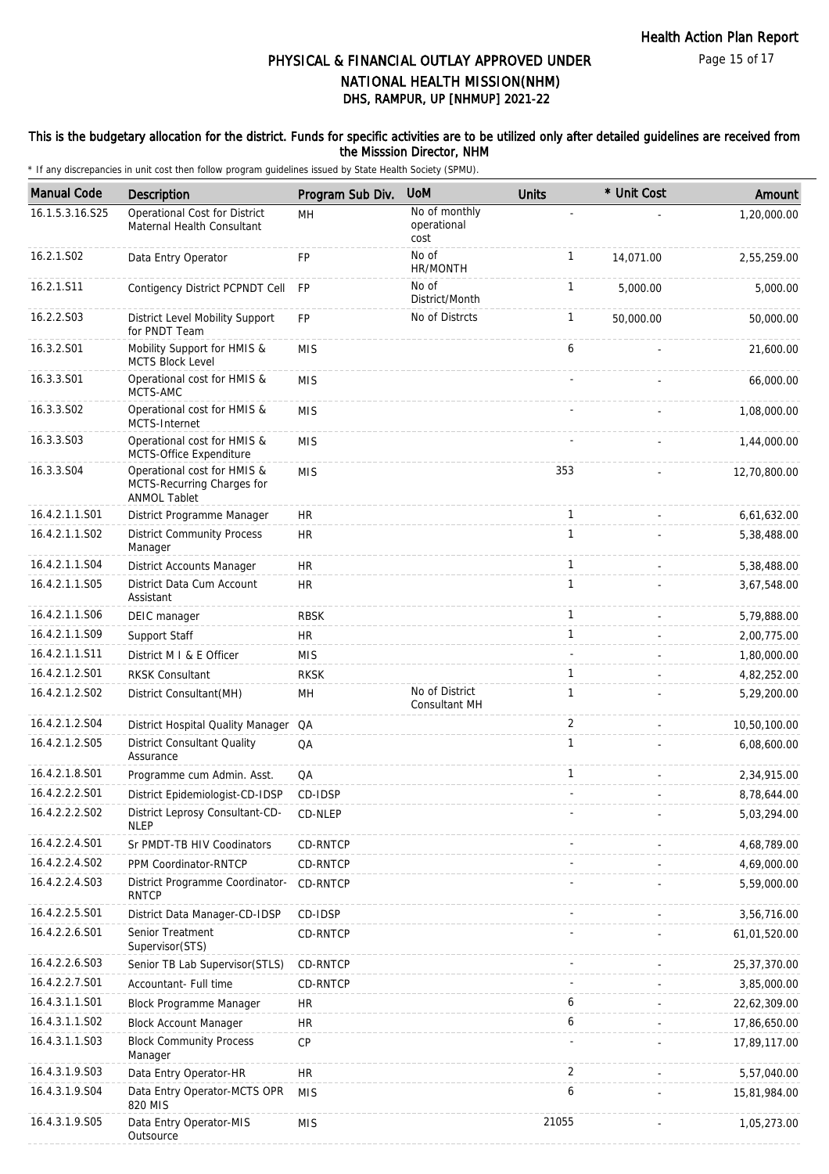#### This is the budgetary allocation for the district. Funds for specific activities are to be utilized only after detailed guidelines are received from the Misssion Director, NHM

| <b>Manual Code</b> | Description                                                                      | Program Sub Div. | <b>UoM</b>                           | <b>Units</b>   | * Unit Cost | Amount         |
|--------------------|----------------------------------------------------------------------------------|------------------|--------------------------------------|----------------|-------------|----------------|
| 16.1.5.3.16.S25    | Operational Cost for District<br>Maternal Health Consultant                      | <b>MH</b>        | No of monthly<br>operational<br>cost |                |             | 1,20,000.00    |
| 16.2.1.S02         | Data Entry Operator                                                              | FP               | No of<br>HR/MONTH                    | $\mathbf{1}$   | 14,071.00   | 2,55,259.00    |
| 16.2.1.S11         | Contigency District PCPNDT Cell                                                  | <b>FP</b>        | No of<br>District/Month              | $\mathbf{1}$   | 5,000.00    | 5,000.00       |
| 16.2.2.S03         | District Level Mobility Support<br>for PNDT Team                                 | <b>FP</b>        | No of Distrcts                       | $\mathbf{1}$   | 50,000.00   | 50,000.00      |
| 16.3.2.S01         | Mobility Support for HMIS &<br><b>MCTS Block Level</b>                           | <b>MIS</b>       |                                      | 6              |             | 21,600.00      |
| 16.3.3.S01         | Operational cost for HMIS &<br>MCTS-AMC                                          | <b>MIS</b>       |                                      |                |             | 66,000.00      |
| 16.3.3.S02         | Operational cost for HMIS &<br>MCTS-Internet                                     | <b>MIS</b>       |                                      |                |             | 1,08,000.00    |
| 16.3.3.S03         | Operational cost for HMIS &<br>MCTS-Office Expenditure                           | <b>MIS</b>       |                                      |                |             | 1,44,000.00    |
| 16.3.3.S04         | Operational cost for HMIS &<br>MCTS-Recurring Charges for<br><b>ANMOL Tablet</b> | <b>MIS</b>       |                                      | 353            |             | 12,70,800.00   |
| 16.4.2.1.1.S01     | District Programme Manager                                                       | HR.              |                                      | $\mathbf{1}$   |             | 6,61,632.00    |
| 16.4.2.1.1.S02     | <b>District Community Process</b><br>Manager                                     | <b>HR</b>        |                                      | $\mathbf{1}$   |             | 5,38,488.00    |
| 16.4.2.1.1.S04     | District Accounts Manager                                                        | <b>HR</b>        |                                      | $\mathbf{1}$   | $\sim$      | 5,38,488.00    |
| 16.4.2.1.1.S05     | District Data Cum Account<br>Assistant                                           | HR               |                                      | $\mathbf{1}$   |             | 3,67,548.00    |
| 16.4.2.1.1.S06     | DEIC manager                                                                     | <b>RBSK</b>      |                                      | $\mathbf{1}$   |             | 5,79,888.00    |
| 16.4.2.1.1.S09     | Support Staff                                                                    | <b>HR</b>        |                                      | $\mathbf{1}$   |             | 2,00,775.00    |
| 16.4.2.1.1.S11     | District M I & E Officer                                                         | <b>MIS</b>       |                                      |                |             | 1,80,000.00    |
| 16.4.2.1.2.S01     | <b>RKSK Consultant</b>                                                           | <b>RKSK</b>      |                                      | $\mathbf{1}$   |             | 4,82,252.00    |
| 16.4.2.1.2.S02     | District Consultant (MH)                                                         | MH               | No of District<br>Consultant MH      | $\mathbf{1}$   |             | 5,29,200.00    |
| 16.4.2.1.2.S04     | District Hospital Quality Manager QA                                             |                  |                                      | $\overline{2}$ |             | 10,50,100.00   |
| 16.4.2.1.2.S05     | District Consultant Quality<br>Assurance                                         | QA               |                                      | $\mathbf{1}$   |             | 6,08,600.00    |
| 16.4.2.1.8.S01     | Programme cum Admin. Asst.                                                       | QA               |                                      | $\mathbf{1}$   |             | 2,34,915.00    |
| 16.4.2.2.2.S01     | District Epidemiologist-CD-IDSP                                                  | CD-IDSP          |                                      |                |             | 8,78,644.00    |
| 16.4.2.2.2.S02     | District Leprosy Consultant-CD-<br><b>NLEP</b>                                   | CD-NLEP          |                                      |                |             | 5,03,294.00    |
| 16.4.2.2.4.S01     | Sr PMDT-TB HIV Coodinators                                                       | CD-RNTCP         |                                      |                |             | 4,68,789.00    |
| 16.4.2.2.4.S02     | PPM Coordinator-RNTCP                                                            | <b>CD-RNTCP</b>  |                                      |                |             | 4,69,000.00    |
| 16.4.2.2.4.S03     | District Programme Coordinator-<br><b>RNTCP</b>                                  | CD-RNTCP         |                                      |                |             | 5,59,000.00    |
| 16.4.2.2.5.S01     | District Data Manager-CD-IDSP                                                    | CD-IDSP          |                                      |                |             | 3,56,716.00    |
| 16.4.2.2.6.S01     | Senior Treatment<br>Supervisor(STS)                                              | CD-RNTCP         |                                      |                |             | 61,01,520.00   |
| 16.4.2.2.6.S03     | Senior TB Lab Supervisor (STLS)                                                  | CD-RNTCP         |                                      |                |             | 25, 37, 370.00 |
| 16.4.2.2.7.S01     | Accountant- Full time                                                            | CD-RNTCP         |                                      |                |             | 3,85,000.00    |
| 16.4.3.1.1.S01     | Block Programme Manager                                                          | HR.              |                                      | 6              |             | 22,62,309.00   |
| 16.4.3.1.1.S02     | <b>Block Account Manager</b>                                                     | HR.              |                                      | 6              |             | 17,86,650.00   |
| 16.4.3.1.1.S03     | <b>Block Community Process</b><br>Manager                                        | CP               |                                      |                |             | 17,89,117.00   |
| 16.4.3.1.9.S03     | Data Entry Operator-HR                                                           | HR.              |                                      | 2              |             | 5,57,040.00    |
| 16.4.3.1.9.S04     | Data Entry Operator-MCTS OPR<br>820 MIS                                          | <b>MIS</b>       |                                      | 6              |             | 15,81,984.00   |
| 16.4.3.1.9.S05     | Data Entry Operator-MIS<br>Outsource                                             | <b>MIS</b>       |                                      | 21055          |             | 1,05,273.00    |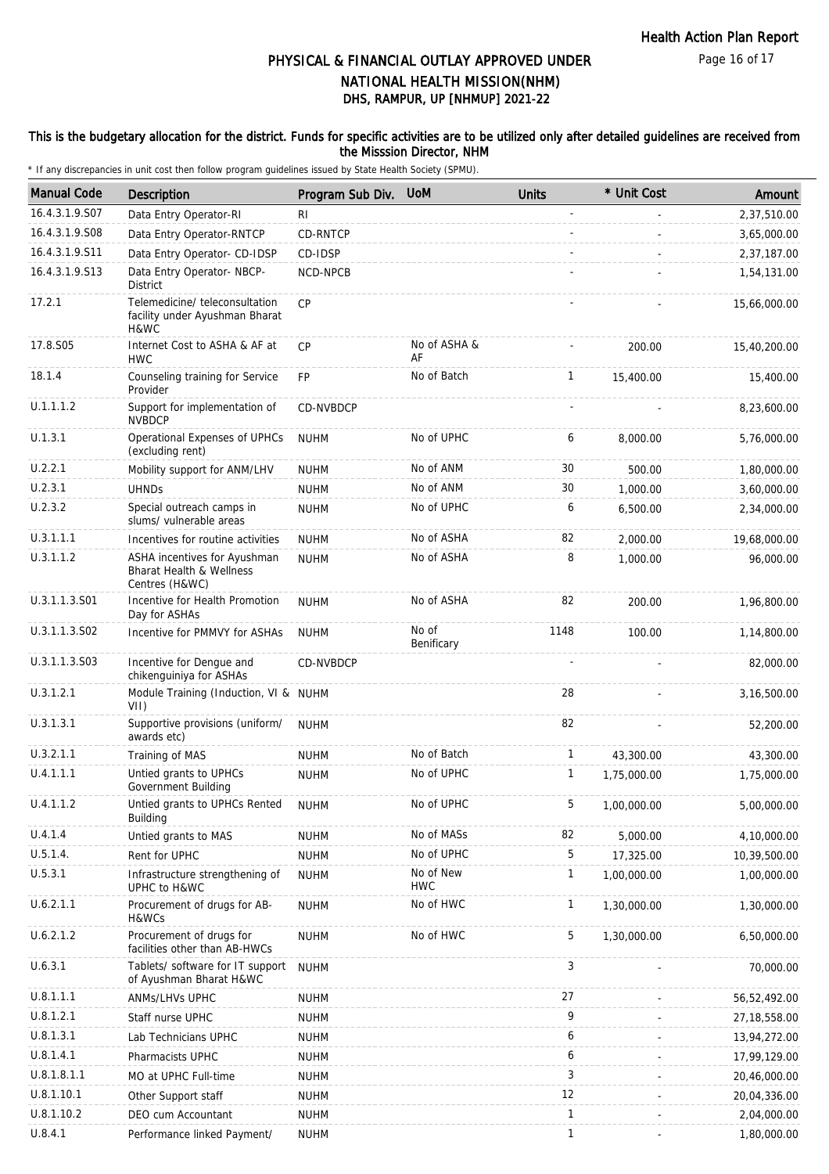#### This is the budgetary allocation for the district. Funds for specific activities are to be utilized only after detailed guidelines are received from the Misssion Director, NHM

| <b>Manual Code</b> | <b>Description</b>                                                                    | Program Sub Div. | <b>UoM</b>              | <b>Units</b> | * Unit Cost | Amount         |
|--------------------|---------------------------------------------------------------------------------------|------------------|-------------------------|--------------|-------------|----------------|
| 16.4.3.1.9.S07     | Data Entry Operator-RI                                                                | R <sub>l</sub>   |                         |              |             | 2,37,510.00    |
| 16.4.3.1.9.S08     | Data Entry Operator-RNTCP                                                             | CD-RNTCP         |                         |              |             | 3,65,000.00    |
| 16.4.3.1.9.S11     | Data Entry Operator- CD-IDSP                                                          | CD-IDSP          |                         |              |             | 2,37,187.00    |
| 16.4.3.1.9.S13     | Data Entry Operator- NBCP-<br><b>District</b>                                         | NCD-NPCB         |                         |              |             | 1,54,131.00    |
| 17.2.1             | Telemedicine/ teleconsultation<br>facility under Ayushman Bharat<br>H&WC              | CP               |                         |              |             | 15,66,000.00   |
| 17.8.S05           | Internet Cost to ASHA & AF at<br><b>HWC</b>                                           | CP               | No of ASHA &<br>AF      |              | 200.00      | 15,40,200.00   |
| 18.1.4             | Counseling training for Service<br>Provider                                           | <b>FP</b>        | No of Batch             | $\mathbf{1}$ | 15,400.00   | 15,400.00      |
| U.1.1.1.2          | Support for implementation of<br><b>NVBDCP</b>                                        | CD-NVBDCP        |                         |              |             | 8,23,600.00    |
| U.1.3.1            | Operational Expenses of UPHCs<br>(excluding rent)                                     | <b>NUHM</b>      | No of UPHC              | 6            | 8,000.00    | 5,76,000.00    |
| U.2.2.1            | Mobility support for ANM/LHV                                                          | <b>NUHM</b>      | No of ANM               | 30           | 500.00      | 1,80,000.00    |
| U.2.3.1            | <b>UHNDs</b>                                                                          | <b>NUHM</b>      | No of ANM               | 30           | 1,000.00    | 3,60,000.00    |
| U.2.3.2            | Special outreach camps in<br>slums/ vulnerable areas                                  | <b>NUHM</b>      | No of UPHC              | 6            | 6,500.00    | 2,34,000.00    |
| U.3.1.1.1          | Incentives for routine activities                                                     | <b>NUHM</b>      | No of ASHA              | 82           | 2,000.00    | 19,68,000.00   |
| U.3.1.1.2          | ASHA incentives for Ayushman<br><b>Bharat Health &amp; Wellness</b><br>Centres (H&WC) | <b>NUHM</b>      | No of ASHA              | 8            | 1,000.00    | 96,000.00      |
| U.3.1.1.3.S01      | Incentive for Health Promotion<br>Day for ASHAs                                       | <b>NUHM</b>      | No of ASHA              | 82           | 200.00      | 1,96,800.00    |
| U.3.1.1.3.S02      | Incentive for PMMVY for ASHAs                                                         | <b>NUHM</b>      | No of<br>Benificary     | 1148         | 100.00      | 1,14,800.00    |
| U.3.1.1.3.S03      | Incentive for Dengue and<br>chikenguiniya for ASHAs                                   | CD-NVBDCP        |                         |              |             | 82,000.00      |
| U.3.1.2.1          | Module Training (Induction, VI & NUHM<br>VII)                                         |                  |                         | 28           |             | 3,16,500.00    |
| U.3.1.3.1          | Supportive provisions (uniform/<br>awards etc)                                        | <b>NUHM</b>      |                         | 82           |             | 52,200.00      |
| U.3.2.1.1          | Training of MAS                                                                       | <b>NUHM</b>      | No of Batch             | $\mathbf{1}$ | 43,300.00   | 43,300.00      |
| U.4.1.1.1          | Untied grants to UPHCs<br>Government Building                                         | <b>NUHM</b>      | No of UPHC              | 1            | 1,75,000.00 | 1,75,000.00    |
| U.4.1.1.2          | Untied grants to UPHCs Rented<br><b>Building</b>                                      | <b>NUHM</b>      | No of UPHC              | 5            | 1,00,000.00 | 5,00,000.00    |
| U.4.1.4            | Untied grants to MAS                                                                  | <b>NUHM</b>      | No of MASs              | 82           | 5,000.00    | 4,10,000.00    |
| U.5.1.4.           | Rent for UPHC                                                                         | <b>NUHM</b>      | No of UPHC              | 5            | 17,325.00   | 10,39,500.00   |
| U.5.3.1            | Infrastructure strengthening of<br>UPHC to H&WC                                       | <b>NUHM</b>      | No of New<br><b>HWC</b> | 1            | 1,00,000.00 | 1,00,000.00    |
| U.6.2.1.1          | Procurement of drugs for AB-<br>H&WCs                                                 | <b>NUHM</b>      | No of HWC               | $\mathbf{1}$ | 1,30,000.00 | 1,30,000.00    |
| U.6.2.1.2          | Procurement of drugs for<br>facilities other than AB-HWCs                             | <b>NUHM</b>      | No of HWC               | 5            | 1,30,000.00 | 6,50,000.00    |
| U.6.3.1            | Tablets/ software for IT support<br>of Ayushman Bharat H&WC                           | <b>NUHM</b>      |                         | 3            |             | 70,000.00      |
| U.8.1.1.1          | ANMs/LHVs UPHC                                                                        | <b>NUHM</b>      |                         | 27           |             | 56,52,492.00   |
| U.8.1.2.1          | Staff nurse UPHC                                                                      | <b>NUHM</b>      |                         | 9            |             | 27, 18, 558.00 |
| U.8.1.3.1          | Lab Technicians UPHC                                                                  | <b>NUHM</b>      |                         | 6            |             | 13,94,272.00   |
| U.8.1.4.1          | Pharmacists UPHC                                                                      | <b>NUHM</b>      |                         | 6            |             | 17,99,129.00   |
| U.8.1.8.1.1        | MO at UPHC Full-time                                                                  | <b>NUHM</b>      |                         | 3            |             | 20,46,000.00   |
| U.8.1.10.1         | Other Support staff                                                                   | <b>NUHM</b>      |                         | 12           |             | 20,04,336.00   |
| U.8.1.10.2         | DEO cum Accountant                                                                    | <b>NUHM</b>      |                         | 1            |             | 2,04,000.00    |
| U.8.4.1            | Performance linked Payment/                                                           | <b>NUHM</b>      |                         | $\mathbf{1}$ |             | 1,80,000.00    |